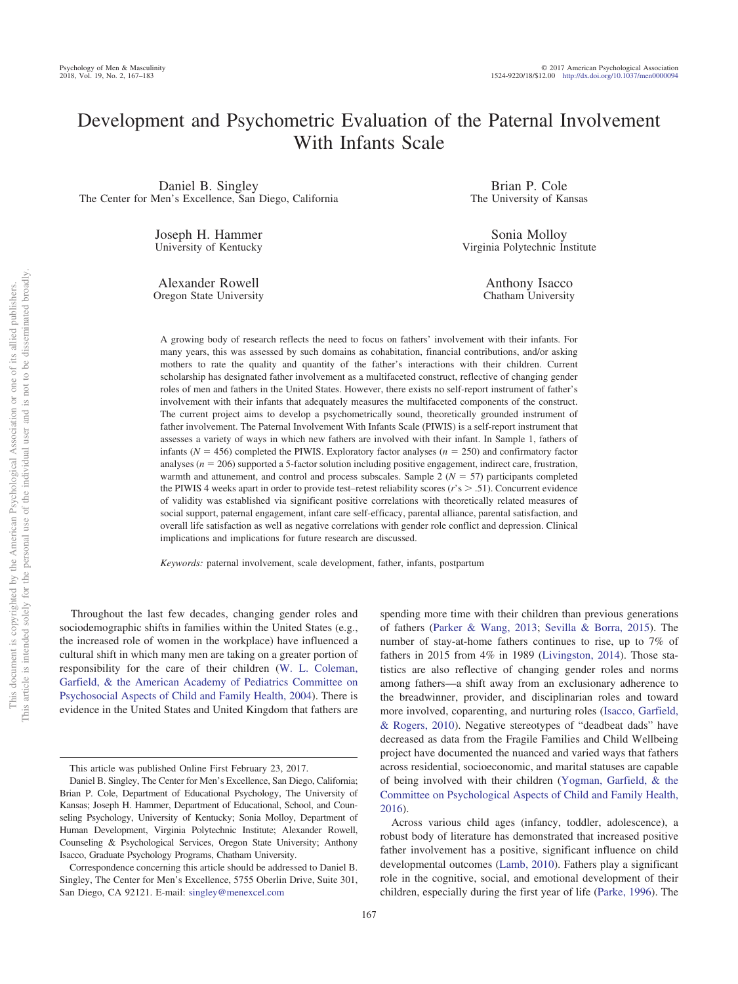# Development and Psychometric Evaluation of the Paternal Involvement With Infants Scale

Daniel B. Singley The Center for Men's Excellence, San Diego, California

> Joseph H. Hammer University of Kentucky

> Alexander Rowell Oregon State University

Brian P. Cole The University of Kansas

Sonia Molloy Virginia Polytechnic Institute

> Anthony Isacco Chatham University

A growing body of research reflects the need to focus on fathers' involvement with their infants. For many years, this was assessed by such domains as cohabitation, financial contributions, and/or asking mothers to rate the quality and quantity of the father's interactions with their children. Current scholarship has designated father involvement as a multifaceted construct, reflective of changing gender roles of men and fathers in the United States. However, there exists no self-report instrument of father's involvement with their infants that adequately measures the multifaceted components of the construct. The current project aims to develop a psychometrically sound, theoretically grounded instrument of father involvement. The Paternal Involvement With Infants Scale (PIWIS) is a self-report instrument that assesses a variety of ways in which new fathers are involved with their infant. In Sample 1, fathers of infants ( $N = 456$ ) completed the PIWIS. Exploratory factor analyses ( $n = 250$ ) and confirmatory factor analyses ( $n = 206$ ) supported a 5-factor solution including positive engagement, indirect care, frustration, warmth and attunement, and control and process subscales. Sample  $2 (N = 57)$  participants completed the PIWIS 4 weeks apart in order to provide test–retest reliability scores  $(r's > .51)$ . Concurrent evidence of validity was established via significant positive correlations with theoretically related measures of social support, paternal engagement, infant care self-efficacy, parental alliance, parental satisfaction, and overall life satisfaction as well as negative correlations with gender role conflict and depression. Clinical implications and implications for future research are discussed.

*Keywords:* paternal involvement, scale development, father, infants, postpartum

Throughout the last few decades, changing gender roles and sociodemographic shifts in families within the United States (e.g., the increased role of women in the workplace) have influenced a cultural shift in which many men are taking on a greater portion of responsibility for the care of their children [\(W. L. Coleman,](#page-12-0) [Garfield, & the American Academy of Pediatrics Committee on](#page-12-0) [Psychosocial Aspects of Child and Family Health, 2004\)](#page-12-0). There is evidence in the United States and United Kingdom that fathers are

spending more time with their children than previous generations of fathers [\(Parker & Wang, 2013;](#page-14-0) [Sevilla & Borra, 2015\)](#page-14-1). The number of stay-at-home fathers continues to rise, up to 7% of fathers in 2015 from 4% in 1989 [\(Livingston, 2014\)](#page-13-0). Those statistics are also reflective of changing gender roles and norms among fathers—a shift away from an exclusionary adherence to the breadwinner, provider, and disciplinarian roles and toward more involved, coparenting, and nurturing roles [\(Isacco, Garfield,](#page-13-1) [& Rogers, 2010\)](#page-13-1). Negative stereotypes of "deadbeat dads" have decreased as data from the Fragile Families and Child Wellbeing project have documented the nuanced and varied ways that fathers across residential, socioeconomic, and marital statuses are capable of being involved with their children [\(Yogman, Garfield, & the](#page-14-2) [Committee on Psychological Aspects of Child and Family Health,](#page-14-2) [2016\)](#page-14-2).

Across various child ages (infancy, toddler, adolescence), a robust body of literature has demonstrated that increased positive father involvement has a positive, significant influence on child developmental outcomes [\(Lamb, 2010\)](#page-13-2). Fathers play a significant role in the cognitive, social, and emotional development of their children, especially during the first year of life [\(Parke, 1996\)](#page-14-3). The

This article was published Online First February 23, 2017.

Daniel B. Singley, The Center for Men's Excellence, San Diego, California; Brian P. Cole, Department of Educational Psychology, The University of Kansas; Joseph H. Hammer, Department of Educational, School, and Counseling Psychology, University of Kentucky; Sonia Molloy, Department of Human Development, Virginia Polytechnic Institute; Alexander Rowell, Counseling & Psychological Services, Oregon State University; Anthony Isacco, Graduate Psychology Programs, Chatham University.

Correspondence concerning this article should be addressed to Daniel B. Singley, The Center for Men's Excellence, 5755 Oberlin Drive, Suite 301, San Diego, CA 92121. E-mail: [singley@menexcel.com](mailto:singley@menexcel.com)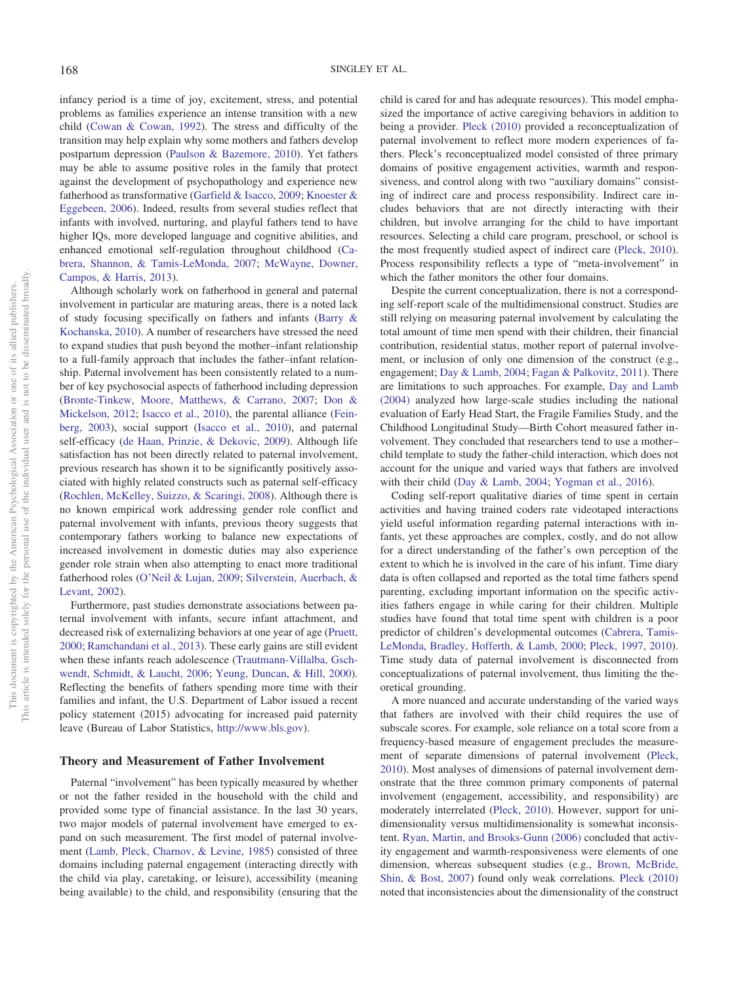infancy period is a time of joy, excitement, stress, and potential problems as families experience an intense transition with a new child [\(Cowan & Cowan, 1992\)](#page-12-1). The stress and difficulty of the transition may help explain why some mothers and fathers develop postpartum depression [\(Paulson & Bazemore, 2010\)](#page-14-4). Yet fathers may be able to assume positive roles in the family that protect against the development of psychopathology and experience new fatherhood as transformative [\(Garfield & Isacco, 2009;](#page-13-3) [Knoester &](#page-13-4) [Eggebeen, 2006\)](#page-13-4). Indeed, results from several studies reflect that infants with involved, nurturing, and playful fathers tend to have higher IQs, more developed language and cognitive abilities, and enhanced emotional self-regulation throughout childhood [\(Ca](#page-12-2)[brera, Shannon, & Tamis-LeMonda, 2007;](#page-12-2) [McWayne, Downer,](#page-13-5) [Campos, & Harris, 2013\)](#page-13-5).

Although scholarly work on fatherhood in general and paternal involvement in particular are maturing areas, there is a noted lack of study focusing specifically on fathers and infants [\(Barry &](#page-12-3) [Kochanska, 2010\)](#page-12-3). A number of researchers have stressed the need to expand studies that push beyond the mother–infant relationship to a full-family approach that includes the father–infant relationship. Paternal involvement has been consistently related to a number of key psychosocial aspects of fatherhood including depression [\(Bronte-Tinkew, Moore, Matthews, & Carrano, 2007;](#page-12-4) [Don &](#page-12-5) [Mickelson, 2012;](#page-12-5) [Isacco et al., 2010\)](#page-13-1), the parental alliance [\(Fein](#page-13-6)[berg, 2003\)](#page-13-6), social support [\(Isacco et al., 2010\)](#page-13-1), and paternal self-efficacy [\(de Haan, Prinzie, & Dekovic, 2009\)](#page-12-6). Although life satisfaction has not been directly related to paternal involvement, previous research has shown it to be significantly positively associated with highly related constructs such as paternal self-efficacy [\(Rochlen, McKelley, Suizzo, & Scaringi, 2008\)](#page-14-5). Although there is no known empirical work addressing gender role conflict and paternal involvement with infants, previous theory suggests that contemporary fathers working to balance new expectations of increased involvement in domestic duties may also experience gender role strain when also attempting to enact more traditional fatherhood roles [\(O'Neil & Lujan, 2009;](#page-14-6) [Silverstein, Auerbach, &](#page-14-7) [Levant, 2002\)](#page-14-7).

Furthermore, past studies demonstrate associations between paternal involvement with infants, secure infant attachment, and decreased risk of externalizing behaviors at one year of age [\(Pruett,](#page-14-8) [2000;](#page-14-8) [Ramchandani et al., 2013\)](#page-14-9). These early gains are still evident when these infants reach adolescence [\(Trautmann-Villalba, Gsch](#page-14-10)[wendt, Schmidt, & Laucht, 2006;](#page-14-10) [Yeung, Duncan, & Hill, 2000\)](#page-14-11). Reflecting the benefits of fathers spending more time with their families and infant, the U.S. Department of Labor issued a recent policy statement (2015) advocating for increased paid paternity leave (Bureau of Labor Statistics, [http://www.bls.gov\)](http://www.bls.gov).

# **Theory and Measurement of Father Involvement**

Paternal "involvement" has been typically measured by whether or not the father resided in the household with the child and provided some type of financial assistance. In the last 30 years, two major models of paternal involvement have emerged to expand on such measurement. The first model of paternal involvement [\(Lamb, Pleck, Charnov, & Levine, 1985\)](#page-13-7) consisted of three domains including paternal engagement (interacting directly with the child via play, caretaking, or leisure), accessibility (meaning being available) to the child, and responsibility (ensuring that the

child is cared for and has adequate resources). This model emphasized the importance of active caregiving behaviors in addition to being a provider. [Pleck \(2010\)](#page-14-12) provided a reconceptualization of paternal involvement to reflect more modern experiences of fathers. Pleck's reconceptualized model consisted of three primary domains of positive engagement activities, warmth and responsiveness, and control along with two "auxiliary domains" consisting of indirect care and process responsibility. Indirect care includes behaviors that are not directly interacting with their children, but involve arranging for the child to have important resources. Selecting a child care program, preschool, or school is the most frequently studied aspect of indirect care [\(Pleck, 2010\)](#page-14-12). Process responsibility reflects a type of "meta-involvement" in which the father monitors the other four domains.

Despite the current conceptualization, there is not a corresponding self-report scale of the multidimensional construct. Studies are still relying on measuring paternal involvement by calculating the total amount of time men spend with their children, their financial contribution, residential status, mother report of paternal involvement, or inclusion of only one dimension of the construct (e.g., engagement; [Day & Lamb, 2004;](#page-12-7) [Fagan & Palkovitz, 2011\)](#page-13-8). There are limitations to such approaches. For example, [Day and Lamb](#page-12-7) [\(2004\)](#page-12-7) analyzed how large-scale studies including the national evaluation of Early Head Start, the Fragile Families Study, and the Childhood Longitudinal Study—Birth Cohort measured father involvement. They concluded that researchers tend to use a mother– child template to study the father-child interaction, which does not account for the unique and varied ways that fathers are involved with their child [\(Day & Lamb, 2004;](#page-12-7) [Yogman et al., 2016\)](#page-14-2).

Coding self-report qualitative diaries of time spent in certain activities and having trained coders rate videotaped interactions yield useful information regarding paternal interactions with infants, yet these approaches are complex, costly, and do not allow for a direct understanding of the father's own perception of the extent to which he is involved in the care of his infant. Time diary data is often collapsed and reported as the total time fathers spend parenting, excluding important information on the specific activities fathers engage in while caring for their children. Multiple studies have found that total time spent with children is a poor predictor of children's developmental outcomes [\(Cabrera, Tamis-](#page-12-8)[LeMonda, Bradley, Hofferth, & Lamb, 2000;](#page-12-8) [Pleck, 1997,](#page-14-13) [2010\)](#page-14-12). Time study data of paternal involvement is disconnected from conceptualizations of paternal involvement, thus limiting the theoretical grounding.

A more nuanced and accurate understanding of the varied ways that fathers are involved with their child requires the use of subscale scores. For example, sole reliance on a total score from a frequency-based measure of engagement precludes the measurement of separate dimensions of paternal involvement [\(Pleck,](#page-14-12) [2010\)](#page-14-12). Most analyses of dimensions of paternal involvement demonstrate that the three common primary components of paternal involvement (engagement, accessibility, and responsibility) are moderately interrelated [\(Pleck, 2010\)](#page-14-12). However, support for unidimensionality versus multidimensionality is somewhat inconsistent. [Ryan, Martin, and Brooks-Gunn \(2006\)](#page-14-14) concluded that activity engagement and warmth-responsiveness were elements of one dimension, whereas subsequent studies (e.g., [Brown, McBride,](#page-12-9) [Shin, & Bost, 2007\)](#page-12-9) found only weak correlations. [Pleck \(2010\)](#page-14-12) noted that inconsistencies about the dimensionality of the construct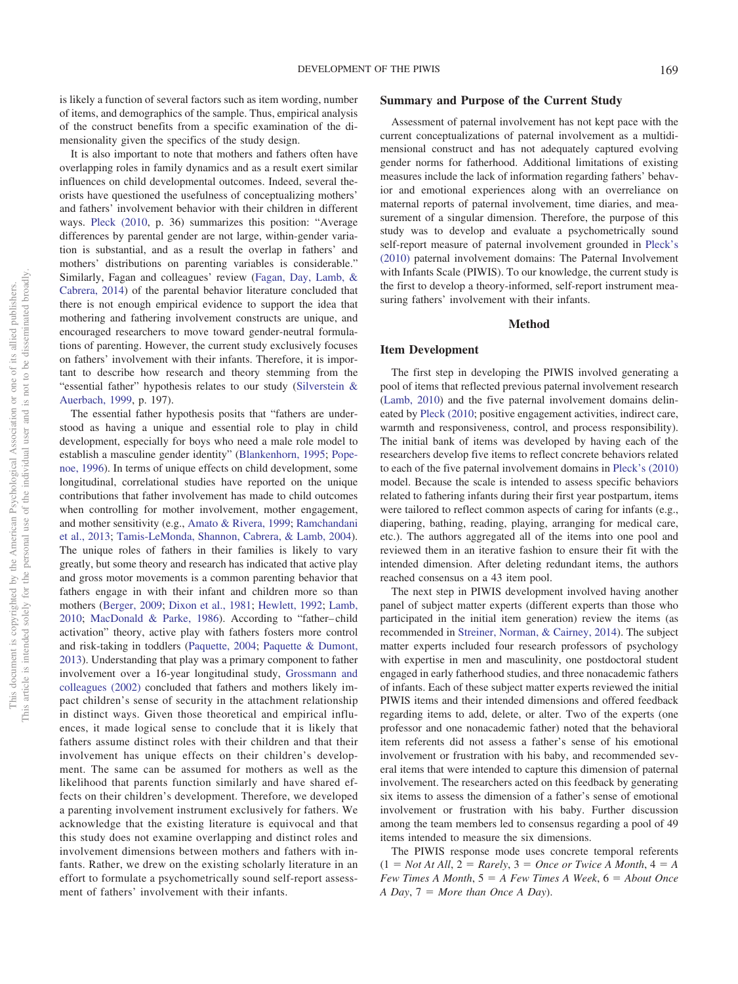is likely a function of several factors such as item wording, number of items, and demographics of the sample. Thus, empirical analysis of the construct benefits from a specific examination of the dimensionality given the specifics of the study design.

It is also important to note that mothers and fathers often have overlapping roles in family dynamics and as a result exert similar influences on child developmental outcomes. Indeed, several theorists have questioned the usefulness of conceptualizing mothers' and fathers' involvement behavior with their children in different ways. [Pleck \(2010,](#page-14-12) p. 36) summarizes this position: "Average differences by parental gender are not large, within-gender variation is substantial, and as a result the overlap in fathers' and mothers' distributions on parenting variables is considerable." Similarly, Fagan and colleagues' review [\(Fagan, Day, Lamb, &](#page-12-10) [Cabrera, 2014\)](#page-12-10) of the parental behavior literature concluded that there is not enough empirical evidence to support the idea that mothering and fathering involvement constructs are unique, and encouraged researchers to move toward gender-neutral formulations of parenting. However, the current study exclusively focuses on fathers' involvement with their infants. Therefore, it is important to describe how research and theory stemming from the "essential father" hypothesis relates to our study [\(Silverstein &](#page-14-15) [Auerbach, 1999,](#page-14-15) p. 197).

The essential father hypothesis posits that "fathers are understood as having a unique and essential role to play in child development, especially for boys who need a male role model to establish a masculine gender identity" [\(Blankenhorn, 1995;](#page-12-11) [Pope](#page-14-16)[noe, 1996\)](#page-14-16). In terms of unique effects on child development, some longitudinal, correlational studies have reported on the unique contributions that father involvement has made to child outcomes when controlling for mother involvement, mother engagement, and mother sensitivity (e.g., [Amato & Rivera, 1999;](#page-12-12) [Ramchandani](#page-14-9) [et al., 2013;](#page-14-9) [Tamis-LeMonda, Shannon, Cabrera, & Lamb, 2004\)](#page-14-17). The unique roles of fathers in their families is likely to vary greatly, but some theory and research has indicated that active play and gross motor movements is a common parenting behavior that fathers engage in with their infant and children more so than mothers [\(Berger, 2009;](#page-12-13) [Dixon et al., 1981;](#page-12-14) [Hewlett, 1992;](#page-13-9) [Lamb,](#page-13-2) [2010;](#page-13-2) [MacDonald & Parke, 1986\)](#page-13-10). According to "father– child activation" theory, active play with fathers fosters more control and risk-taking in toddlers [\(Paquette, 2004;](#page-14-18) [Paquette & Dumont,](#page-14-19) [2013\)](#page-14-19). Understanding that play was a primary component to father involvement over a 16-year longitudinal study, [Grossmann and](#page-13-11) [colleagues \(2002\)](#page-13-11) concluded that fathers and mothers likely impact children's sense of security in the attachment relationship in distinct ways. Given those theoretical and empirical influences, it made logical sense to conclude that it is likely that fathers assume distinct roles with their children and that their involvement has unique effects on their children's development. The same can be assumed for mothers as well as the likelihood that parents function similarly and have shared effects on their children's development. Therefore, we developed a parenting involvement instrument exclusively for fathers. We acknowledge that the existing literature is equivocal and that this study does not examine overlapping and distinct roles and involvement dimensions between mothers and fathers with infants. Rather, we drew on the existing scholarly literature in an effort to formulate a psychometrically sound self-report assessment of fathers' involvement with their infants.

#### **Summary and Purpose of the Current Study**

Assessment of paternal involvement has not kept pace with the current conceptualizations of paternal involvement as a multidimensional construct and has not adequately captured evolving gender norms for fatherhood. Additional limitations of existing measures include the lack of information regarding fathers' behavior and emotional experiences along with an overreliance on maternal reports of paternal involvement, time diaries, and measurement of a singular dimension. Therefore, the purpose of this study was to develop and evaluate a psychometrically sound self-report measure of paternal involvement grounded in [Pleck's](#page-14-12) [\(2010\)](#page-14-12) paternal involvement domains: The Paternal Involvement with Infants Scale (PIWIS). To our knowledge, the current study is the first to develop a theory-informed, self-report instrument measuring fathers' involvement with their infants.

#### **Method**

#### **Item Development**

The first step in developing the PIWIS involved generating a pool of items that reflected previous paternal involvement research [\(Lamb, 2010\)](#page-13-2) and the five paternal involvement domains delineated by [Pleck \(2010;](#page-14-12) positive engagement activities, indirect care, warmth and responsiveness, control, and process responsibility). The initial bank of items was developed by having each of the researchers develop five items to reflect concrete behaviors related to each of the five paternal involvement domains in [Pleck's \(2010\)](#page-14-12) model. Because the scale is intended to assess specific behaviors related to fathering infants during their first year postpartum, items were tailored to reflect common aspects of caring for infants (e.g., diapering, bathing, reading, playing, arranging for medical care, etc.). The authors aggregated all of the items into one pool and reviewed them in an iterative fashion to ensure their fit with the intended dimension. After deleting redundant items, the authors reached consensus on a 43 item pool.

The next step in PIWIS development involved having another panel of subject matter experts (different experts than those who participated in the initial item generation) review the items (as recommended in [Streiner, Norman, & Cairney, 2014\)](#page-14-20). The subject matter experts included four research professors of psychology with expertise in men and masculinity, one postdoctoral student engaged in early fatherhood studies, and three nonacademic fathers of infants. Each of these subject matter experts reviewed the initial PIWIS items and their intended dimensions and offered feedback regarding items to add, delete, or alter. Two of the experts (one professor and one nonacademic father) noted that the behavioral item referents did not assess a father's sense of his emotional involvement or frustration with his baby, and recommended several items that were intended to capture this dimension of paternal involvement. The researchers acted on this feedback by generating six items to assess the dimension of a father's sense of emotional involvement or frustration with his baby. Further discussion among the team members led to consensus regarding a pool of 49 items intended to measure the six dimensions.

The PIWIS response mode uses concrete temporal referents  $(1 = Not At All, 2 = Rarely, 3 = Once or Twice A Month, 4 = A$  $Few Times A Month, 5 = A Few Times A Week, 6 = About Once$ *A Day*, 7 - *More than Once A Day*).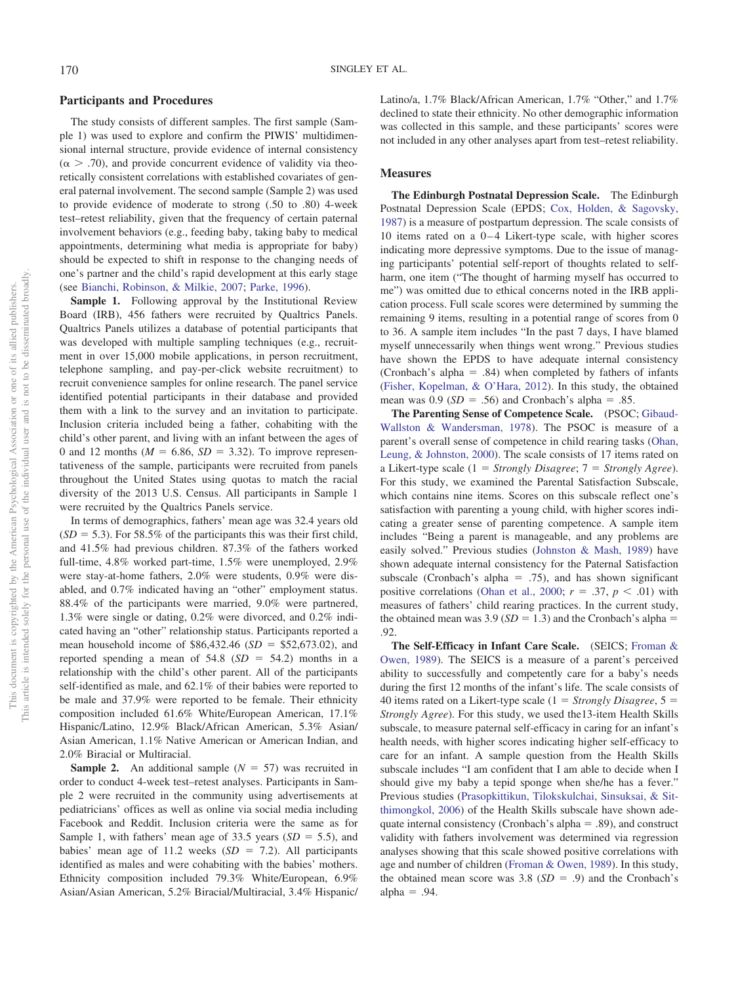#### **Participants and Procedures**

The study consists of different samples. The first sample (Sample 1) was used to explore and confirm the PIWIS' multidimensional internal structure, provide evidence of internal consistency  $(\alpha > .70)$ , and provide concurrent evidence of validity via theoretically consistent correlations with established covariates of general paternal involvement. The second sample (Sample 2) was used to provide evidence of moderate to strong (.50 to .80) 4-week test–retest reliability, given that the frequency of certain paternal involvement behaviors (e.g., feeding baby, taking baby to medical appointments, determining what media is appropriate for baby) should be expected to shift in response to the changing needs of one's partner and the child's rapid development at this early stage (see [Bianchi, Robinson, & Milkie, 2007;](#page-12-15) [Parke, 1996\)](#page-14-3).

Sample 1. Following approval by the Institutional Review Board (IRB), 456 fathers were recruited by Qualtrics Panels. Qualtrics Panels utilizes a database of potential participants that was developed with multiple sampling techniques (e.g., recruitment in over 15,000 mobile applications, in person recruitment, telephone sampling, and pay-per-click website recruitment) to recruit convenience samples for online research. The panel service identified potential participants in their database and provided them with a link to the survey and an invitation to participate. Inclusion criteria included being a father, cohabiting with the child's other parent, and living with an infant between the ages of 0 and 12 months ( $M = 6.86$ ,  $SD = 3.32$ ). To improve representativeness of the sample, participants were recruited from panels throughout the United States using quotas to match the racial diversity of the 2013 U.S. Census. All participants in Sample 1 were recruited by the Qualtrics Panels service.

In terms of demographics, fathers' mean age was 32.4 years old  $(SD = 5.3)$ . For 58.5% of the participants this was their first child, and 41.5% had previous children. 87.3% of the fathers worked full-time, 4.8% worked part-time, 1.5% were unemployed, 2.9% were stay-at-home fathers, 2.0% were students, 0.9% were disabled, and 0.7% indicated having an "other" employment status. 88.4% of the participants were married, 9.0% were partnered, 1.3% were single or dating, 0.2% were divorced, and 0.2% indicated having an "other" relationship status. Participants reported a mean household income of  $$86,432.46$  ( $SD = $52,673.02$ ), and reported spending a mean of  $54.8$  ( $SD = 54.2$ ) months in a relationship with the child's other parent. All of the participants self-identified as male, and 62.1% of their babies were reported to be male and 37.9% were reported to be female. Their ethnicity composition included 61.6% White/European American, 17.1% Hispanic/Latino, 12.9% Black/African American, 5.3% Asian/ Asian American, 1.1% Native American or American Indian, and 2.0% Biracial or Multiracial.

**Sample 2.** An additional sample  $(N = 57)$  was recruited in order to conduct 4-week test–retest analyses. Participants in Sample 2 were recruited in the community using advertisements at pediatricians' offices as well as online via social media including Facebook and Reddit. Inclusion criteria were the same as for Sample 1, with fathers' mean age of 33.5 years  $(SD = 5.5)$ , and babies' mean age of 11.2 weeks  $(SD = 7.2)$ . All participants identified as males and were cohabiting with the babies' mothers. Ethnicity composition included 79.3% White/European, 6.9% Asian/Asian American, 5.2% Biracial/Multiracial, 3.4% Hispanic/ Latino/a, 1.7% Black/African American, 1.7% "Other," and 1.7% declined to state their ethnicity. No other demographic information was collected in this sample, and these participants' scores were not included in any other analyses apart from test–retest reliability.

# **Measures**

**The Edinburgh Postnatal Depression Scale.** The Edinburgh Postnatal Depression Scale (EPDS; [Cox, Holden, & Sagovsky,](#page-12-16) [1987\)](#page-12-16) is a measure of postpartum depression. The scale consists of 10 items rated on a  $0-4$  Likert-type scale, with higher scores indicating more depressive symptoms. Due to the issue of managing participants' potential self-report of thoughts related to selfharm, one item ("The thought of harming myself has occurred to me") was omitted due to ethical concerns noted in the IRB application process. Full scale scores were determined by summing the remaining 9 items, resulting in a potential range of scores from 0 to 36. A sample item includes "In the past 7 days, I have blamed myself unnecessarily when things went wrong." Previous studies have shown the EPDS to have adequate internal consistency (Cronbach's alpha = .84) when completed by fathers of infants [\(Fisher, Kopelman, & O'Hara, 2012\)](#page-13-12). In this study, the obtained mean was  $0.9$  ( $SD = .56$ ) and Cronbach's alpha = .85.

**The Parenting Sense of Competence Scale.** (PSOC; [Gibaud-](#page-13-13)[Wallston & Wandersman, 1978\)](#page-13-13). The PSOC is measure of a parent's overall sense of competence in child rearing tasks [\(Ohan,](#page-13-14) [Leung, & Johnston, 2000\)](#page-13-14). The scale consists of 17 items rated on a Likert-type scale (1 = *Strongly Disagree*; 7 = *Strongly Agree*). For this study, we examined the Parental Satisfaction Subscale, which contains nine items. Scores on this subscale reflect one's satisfaction with parenting a young child, with higher scores indicating a greater sense of parenting competence. A sample item includes "Being a parent is manageable, and any problems are easily solved." Previous studies [\(Johnston & Mash, 1989\)](#page-13-15) have shown adequate internal consistency for the Paternal Satisfaction subscale (Cronbach's alpha = .75), and has shown significant positive correlations [\(Ohan et al., 2000;](#page-13-14)  $r = .37$ ,  $p < .01$ ) with measures of fathers' child rearing practices. In the current study, the obtained mean was  $3.9$  ( $SD = 1.3$ ) and the Cronbach's alpha = .92.

**The Self-Efficacy in Infant Care Scale.** (SEICS; [Froman &](#page-13-16) [Owen, 1989\)](#page-13-16). The SEICS is a measure of a parent's perceived ability to successfully and competently care for a baby's needs during the first 12 months of the infant's life. The scale consists of 40 items rated on a Likert-type scale  $(1 = \text{Strongly Disagree}, 5 =$ *Strongly Agree*). For this study, we used the13-item Health Skills subscale, to measure paternal self-efficacy in caring for an infant's health needs, with higher scores indicating higher self-efficacy to care for an infant. A sample question from the Health Skills subscale includes "I am confident that I am able to decide when I should give my baby a tepid sponge when she/he has a fever." Previous studies [\(Prasopkittikun, Tilokskulchai, Sinsuksai, & Sit](#page-14-21)[thimongkol, 2006\)](#page-14-21) of the Health Skills subscale have shown adequate internal consistency (Cronbach's alpha  $=$  .89), and construct validity with fathers involvement was determined via regression analyses showing that this scale showed positive correlations with age and number of children [\(Froman & Owen, 1989\)](#page-13-16). In this study, the obtained mean score was  $3.8$  ( $SD = .9$ ) and the Cronbach's  $alpha = .94$ .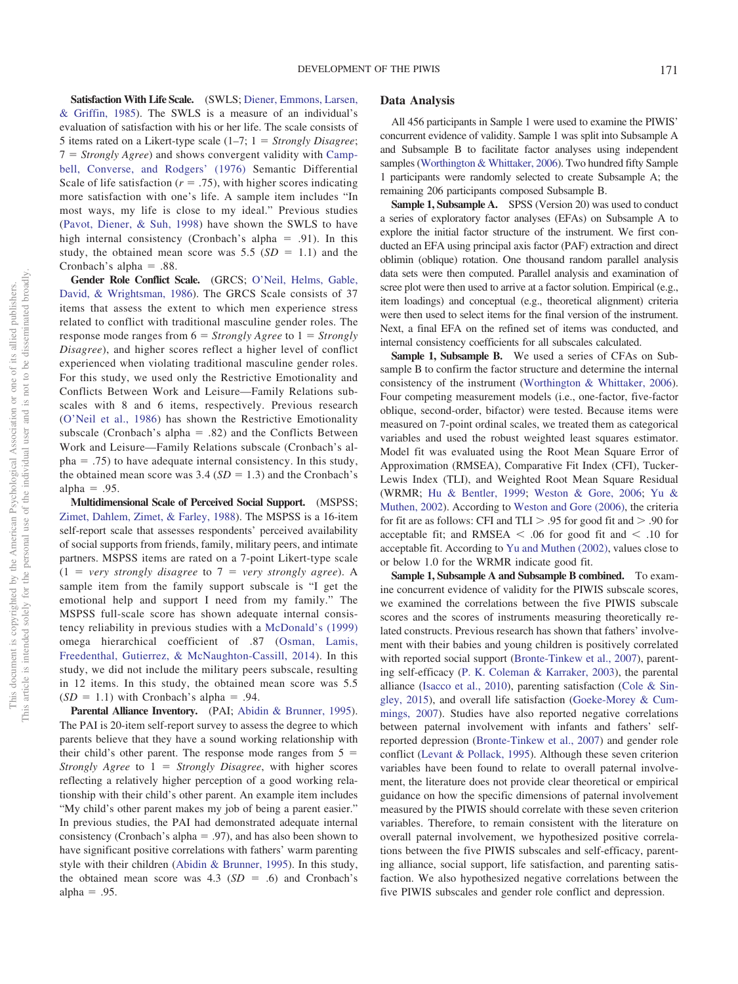**Satisfaction With Life Scale.** (SWLS; [Diener, Emmons, Larsen,](#page-12-17) [& Griffin, 1985\)](#page-12-17). The SWLS is a measure of an individual's evaluation of satisfaction with his or her life. The scale consists of 5 items rated on a Likert-type scale (1–7; 1 = Strongly Disagree; 7 = *Strongly Agree*) and shows convergent validity with [Camp](#page-12-18)[bell, Converse, and Rodgers' \(1976\)](#page-12-18) Semantic Differential Scale of life satisfaction  $(r = .75)$ , with higher scores indicating more satisfaction with one's life. A sample item includes "In most ways, my life is close to my ideal." Previous studies [\(Pavot, Diener, & Suh, 1998\)](#page-14-22) have shown the SWLS to have high internal consistency (Cronbach's alpha  $= .91$ ). In this study, the obtained mean score was  $5.5$  ( $SD = 1.1$ ) and the Cronbach's alpha =  $.88$ .

**Gender Role Conflict Scale.** (GRCS; [O'Neil, Helms, Gable,](#page-13-17) [David, & Wrightsman, 1986\)](#page-13-17). The GRCS Scale consists of 37 items that assess the extent to which men experience stress related to conflict with traditional masculine gender roles. The response mode ranges from  $6 =$  *Strongly Agree* to  $1 =$  *Strongly Disagree*), and higher scores reflect a higher level of conflict experienced when violating traditional masculine gender roles. For this study, we used only the Restrictive Emotionality and Conflicts Between Work and Leisure—Family Relations subscales with 8 and 6 items, respectively. Previous research [\(O'Neil et al., 1986\)](#page-13-17) has shown the Restrictive Emotionality subscale (Cronbach's alpha  $= .82$ ) and the Conflicts Between Work and Leisure—Family Relations subscale (Cronbach's al $pha = .75$ ) to have adequate internal consistency. In this study, the obtained mean score was  $3.4$  ( $SD = 1.3$ ) and the Cronbach's  $alpha = .95$ .

**Multidimensional Scale of Perceived Social Support.** (MSPSS; [Zimet, Dahlem, Zimet, & Farley, 1988\)](#page-15-0). The MSPSS is a 16-item self-report scale that assesses respondents' perceived availability of social supports from friends, family, military peers, and intimate partners. MSPSS items are rated on a 7-point Likert-type scale  $(1 = \text{very strongly disagree to } 7 = \text{very strongly agree}).$  A sample item from the family support subscale is "I get the emotional help and support I need from my family." The MSPSS full-scale score has shown adequate internal consistency reliability in previous studies with a [McDonald's \(1999\)](#page-13-18) omega hierarchical coefficient of .87 [\(Osman, Lamis,](#page-14-23) [Freedenthal, Gutierrez, & McNaughton-Cassill, 2014\)](#page-14-23). In this study, we did not include the military peers subscale, resulting in 12 items. In this study, the obtained mean score was 5.5  $(SD = 1.1)$  with Cronbach's alpha = .94.

Parental Alliance Inventory. (PAI; [Abidin & Brunner, 1995\)](#page-12-19). The PAI is 20-item self-report survey to assess the degree to which parents believe that they have a sound working relationship with their child's other parent. The response mode ranges from  $5 =$ *Strongly Agree* to  $1 =$  *Strongly Disagree*, with higher scores reflecting a relatively higher perception of a good working relationship with their child's other parent. An example item includes "My child's other parent makes my job of being a parent easier." In previous studies, the PAI had demonstrated adequate internal consistency (Cronbach's alpha  $= .97$ ), and has also been shown to have significant positive correlations with fathers' warm parenting style with their children [\(Abidin & Brunner, 1995\)](#page-12-19). In this study, the obtained mean score was  $4.3$  ( $SD = .6$ ) and Cronbach's  $alpha = .95$ .

## **Data Analysis**

All 456 participants in Sample 1 were used to examine the PIWIS' concurrent evidence of validity. Sample 1 was split into Subsample A and Subsample B to facilitate factor analyses using independent samples [\(Worthington & Whittaker, 2006\)](#page-14-24). Two hundred fifty Sample 1 participants were randomly selected to create Subsample A; the remaining 206 participants composed Subsample B.

**Sample 1, Subsample A.** SPSS (Version 20) was used to conduct a series of exploratory factor analyses (EFAs) on Subsample A to explore the initial factor structure of the instrument. We first conducted an EFA using principal axis factor (PAF) extraction and direct oblimin (oblique) rotation. One thousand random parallel analysis data sets were then computed. Parallel analysis and examination of scree plot were then used to arrive at a factor solution. Empirical (e.g., item loadings) and conceptual (e.g., theoretical alignment) criteria were then used to select items for the final version of the instrument. Next, a final EFA on the refined set of items was conducted, and internal consistency coefficients for all subscales calculated.

**Sample 1, Subsample B.** We used a series of CFAs on Subsample B to confirm the factor structure and determine the internal consistency of the instrument [\(Worthington & Whittaker, 2006\)](#page-14-24). Four competing measurement models (i.e., one-factor, five-factor oblique, second-order, bifactor) were tested. Because items were measured on 7-point ordinal scales, we treated them as categorical variables and used the robust weighted least squares estimator. Model fit was evaluated using the Root Mean Square Error of Approximation (RMSEA), Comparative Fit Index (CFI), Tucker-Lewis Index (TLI), and Weighted Root Mean Square Residual (WRMR; [Hu & Bentler, 1999;](#page-13-19) [Weston & Gore, 2006;](#page-14-25) [Yu &](#page-15-1) [Muthen, 2002\)](#page-15-1). According to [Weston and Gore \(2006\),](#page-14-25) the criteria for fit are as follows: CFI and TLI  $> .95$  for good fit and  $> .90$  for acceptable fit; and RMSEA  $\le$  .06 for good fit and  $\le$  .10 for acceptable fit. According to [Yu and Muthen \(2002\),](#page-15-1) values close to or below 1.0 for the WRMR indicate good fit.

**Sample 1, Subsample A and Subsample B combined.** To examine concurrent evidence of validity for the PIWIS subscale scores, we examined the correlations between the five PIWIS subscale scores and the scores of instruments measuring theoretically related constructs. Previous research has shown that fathers' involvement with their babies and young children is positively correlated with reported social support [\(Bronte-Tinkew et al., 2007\)](#page-12-4), parenting self-efficacy [\(P. K. Coleman & Karraker, 2003\)](#page-12-20), the parental alliance [\(Isacco et al., 2010\)](#page-13-1), parenting satisfaction [\(Cole & Sin](#page-12-21)[gley, 2015\)](#page-12-21), and overall life satisfaction [\(Goeke-Morey & Cum](#page-13-20)[mings, 2007\)](#page-13-20). Studies have also reported negative correlations between paternal involvement with infants and fathers' selfreported depression [\(Bronte-Tinkew et al., 2007\)](#page-12-4) and gender role conflict [\(Levant & Pollack, 1995\)](#page-13-21). Although these seven criterion variables have been found to relate to overall paternal involvement, the literature does not provide clear theoretical or empirical guidance on how the specific dimensions of paternal involvement measured by the PIWIS should correlate with these seven criterion variables. Therefore, to remain consistent with the literature on overall paternal involvement, we hypothesized positive correlations between the five PIWIS subscales and self-efficacy, parenting alliance, social support, life satisfaction, and parenting satisfaction. We also hypothesized negative correlations between the five PIWIS subscales and gender role conflict and depression.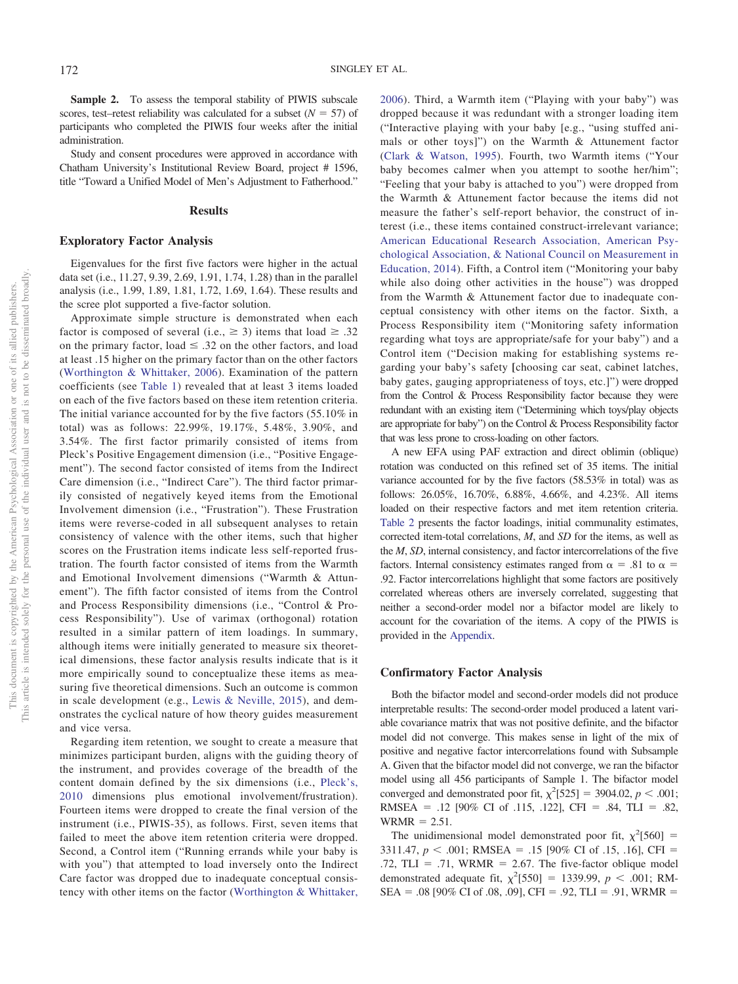Sample 2. To assess the temporal stability of PIWIS subscale scores, test–retest reliability was calculated for a subset  $(N = 57)$  of participants who completed the PIWIS four weeks after the initial administration.

Study and consent procedures were approved in accordance with Chatham University's Institutional Review Board, project # 1596, title "Toward a Unified Model of Men's Adjustment to Fatherhood."

#### **Results**

#### **Exploratory Factor Analysis**

Eigenvalues for the first five factors were higher in the actual data set (i.e., 11.27, 9.39, 2.69, 1.91, 1.74, 1.28) than in the parallel analysis (i.e., 1.99, 1.89, 1.81, 1.72, 1.69, 1.64). These results and the scree plot supported a five-factor solution.

Approximate simple structure is demonstrated when each factor is composed of several (i.e.,  $\geq$  3) items that load  $\geq$  .32 on the primary factor, load  $\leq .32$  on the other factors, and load at least .15 higher on the primary factor than on the other factors [\(Worthington & Whittaker, 2006\)](#page-14-24). Examination of the pattern coefficients (see [Table 1\)](#page-6-0) revealed that at least 3 items loaded on each of the five factors based on these item retention criteria. The initial variance accounted for by the five factors (55.10% in total) was as follows: 22.99%, 19.17%, 5.48%, 3.90%, and 3.54%. The first factor primarily consisted of items from Pleck's Positive Engagement dimension (i.e., "Positive Engagement"). The second factor consisted of items from the Indirect Care dimension (i.e., "Indirect Care"). The third factor primarily consisted of negatively keyed items from the Emotional Involvement dimension (i.e., "Frustration"). These Frustration items were reverse-coded in all subsequent analyses to retain consistency of valence with the other items, such that higher scores on the Frustration items indicate less self-reported frustration. The fourth factor consisted of items from the Warmth and Emotional Involvement dimensions ("Warmth & Attunement"). The fifth factor consisted of items from the Control and Process Responsibility dimensions (i.e., "Control & Process Responsibility"). Use of varimax (orthogonal) rotation resulted in a similar pattern of item loadings. In summary, although items were initially generated to measure six theoretical dimensions, these factor analysis results indicate that is it more empirically sound to conceptualize these items as measuring five theoretical dimensions. Such an outcome is common in scale development (e.g., [Lewis & Neville, 2015\)](#page-13-22), and demonstrates the cyclical nature of how theory guides measurement and vice versa.

Regarding item retention, we sought to create a measure that minimizes participant burden, aligns with the guiding theory of the instrument, and provides coverage of the breadth of the content domain defined by the six dimensions (i.e., [Pleck's,](#page-14-12) [2010](#page-14-12) dimensions plus emotional involvement/frustration). Fourteen items were dropped to create the final version of the instrument (i.e., PIWIS-35), as follows. First, seven items that failed to meet the above item retention criteria were dropped. Second, a Control item ("Running errands while your baby is with you") that attempted to load inversely onto the Indirect Care factor was dropped due to inadequate conceptual consistency with other items on the factor [\(Worthington & Whittaker,](#page-14-24)

[2006\)](#page-14-24). Third, a Warmth item ("Playing with your baby") was dropped because it was redundant with a stronger loading item ("Interactive playing with your baby [e.g., "using stuffed animals or other toys]") on the Warmth & Attunement factor [\(Clark & Watson, 1995\)](#page-12-22). Fourth, two Warmth items ("Your baby becomes calmer when you attempt to soothe her/him"; "Feeling that your baby is attached to you") were dropped from the Warmth & Attunement factor because the items did not measure the father's self-report behavior, the construct of interest (i.e., these items contained construct-irrelevant variance; [American Educational Research Association, American Psy](#page-12-23)[chological Association, & National Council on Measurement in](#page-12-23) [Education, 2014\)](#page-12-23). Fifth, a Control item ("Monitoring your baby while also doing other activities in the house") was dropped from the Warmth & Attunement factor due to inadequate conceptual consistency with other items on the factor. Sixth, a Process Responsibility item ("Monitoring safety information regarding what toys are appropriate/safe for your baby") and a Control item ("Decision making for establishing systems regarding your baby's safety **[**choosing car seat, cabinet latches, baby gates, gauging appropriateness of toys, etc.]") were dropped from the Control & Process Responsibility factor because they were redundant with an existing item ("Determining which toys/play objects are appropriate for baby") on the Control & Process Responsibility factor that was less prone to cross-loading on other factors.

A new EFA using PAF extraction and direct oblimin (oblique) rotation was conducted on this refined set of 35 items. The initial variance accounted for by the five factors (58.53% in total) was as follows: 26.05%, 16.70%, 6.88%, 4.66%, and 4.23%. All items loaded on their respective factors and met item retention criteria. [Table 2](#page-7-0) presents the factor loadings, initial communality estimates, corrected item-total correlations, *M*, and *SD* for the items, as well as the *M*, *SD*, internal consistency, and factor intercorrelations of the five factors. Internal consistency estimates ranged from  $\alpha = .81$  to  $\alpha =$ .92. Factor intercorrelations highlight that some factors are positively correlated whereas others are inversely correlated, suggesting that neither a second-order model nor a bifactor model are likely to account for the covariation of the items. A copy of the PIWIS is provided in the [Appendix.](#page-15-2)

#### **Confirmatory Factor Analysis**

Both the bifactor model and second-order models did not produce interpretable results: The second-order model produced a latent variable covariance matrix that was not positive definite, and the bifactor model did not converge. This makes sense in light of the mix of positive and negative factor intercorrelations found with Subsample A. Given that the bifactor model did not converge, we ran the bifactor model using all 456 participants of Sample 1. The bifactor model converged and demonstrated poor fit,  $\chi^2$ [525] = 3904.02, *p* < .001; RMSEA = .12 [90% CI of .115, .122], CFI = .84, TLI = .82,  $WRMR = 2.51$ .

The unidimensional model demonstrated poor fit,  $\chi^2$ [560] = 3311.47,  $p < .001$ ; RMSEA = .15 [90% CI of .15, .16], CFI = .72, TLI = .71, WRMR = 2.67. The five-factor oblique model demonstrated adequate fit,  $\chi^2$ [550] = 1339.99, *p* < .001; RM- $SEA = .08$  [90% CI of .08, .09], CFI = .92, TLI = .91, WRMR =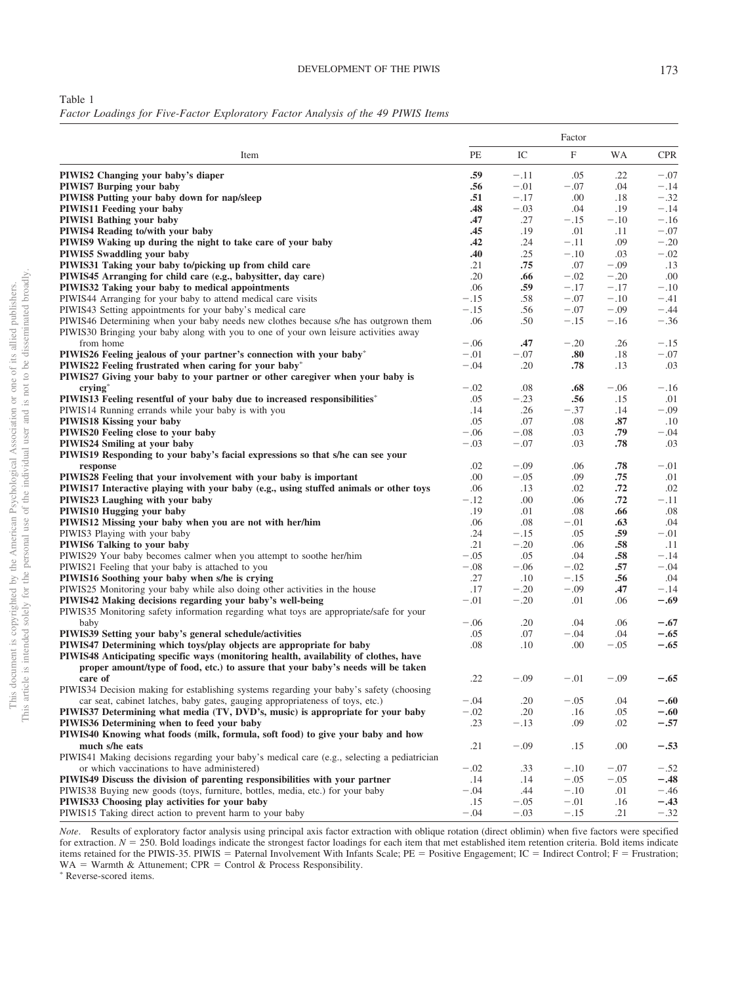<span id="page-6-0"></span>Table 1

*Factor Loadings for Five-Factor Exploratory Factor Analysis of the 49 PIWIS Items*

|                                                                                             |        | Factor |        |        |            |
|---------------------------------------------------------------------------------------------|--------|--------|--------|--------|------------|
| Item                                                                                        | PE     | IC     | F      | WA     | <b>CPR</b> |
| PIWIS2 Changing your baby's diaper                                                          | .59    | $-.11$ | .05    | .22    | $-.07$     |
| <b>PIWIS7 Burping your baby</b>                                                             | .56    | $-.01$ | $-.07$ | .04    | $-.14$     |
| PIWIS8 Putting your baby down for nap/sleep                                                 | .51    | $-.17$ | .00    | .18    | $-.32$     |
| <b>PIWIS11 Feeding your baby</b>                                                            | .48    | $-.03$ | .04    | .19    | $-.14$     |
| <b>PIWIS1 Bathing your baby</b>                                                             | .47    | .27    | $-.15$ | $-.10$ | $-.16$     |
| <b>PIWIS4 Reading to/with your baby</b>                                                     | .45    | .19    | .01    | .11    | $-.07$     |
| PIWIS9 Waking up during the night to take care of your baby                                 | .42    | .24    | $-.11$ | .09    | $-.20$     |
| <b>PIWIS5 Swaddling your baby</b>                                                           | .40    | .25    | $-.10$ | .03    | $-.02$     |
| PIWIS31 Taking your baby to/picking up from child care                                      | .21    | .75    | .07    | $-.09$ | .13        |
| PIWIS45 Arranging for child care (e.g., babysitter, day care)                               | .20    | .66    | $-.02$ | $-.20$ | .00        |
| PIWIS32 Taking your baby to medical appointments                                            | .06    | .59    | $-.17$ | $-.17$ | $-.10$     |
| PIWIS44 Arranging for your baby to attend medical care visits                               | $-.15$ | .58    | $-.07$ | $-.10$ | $-.41$     |
| PIWIS43 Setting appointments for your baby's medical care                                   | $-.15$ | .56    | $-.07$ | $-.09$ | $-.44$     |
| PIWIS46 Determining when your baby needs new clothes because s/he has outgrown them         | .06    | .50    | $-.15$ | $-.16$ | $-.36$     |
| PIWIS30 Bringing your baby along with you to one of your own leisure activities away        |        |        |        |        |            |
| from home                                                                                   | $-.06$ | .47    | $-.20$ | .26    | $-.15$     |
| PIWIS26 Feeling jealous of your partner's connection with your baby*                        | $-.01$ | $-.07$ | .80    | .18    | $-.07$     |
| PIWIS22 Feeling frustrated when caring for your baby*                                       | $-.04$ | .20    | .78    | .13    | .03        |
| PIWIS27 Giving your baby to your partner or other caregiver when your baby is               |        |        |        |        |            |
| $crying^*$                                                                                  | $-.02$ | .08    | .68    | $-.06$ | $-.16$     |
| PIWIS13 Feeling resentful of your baby due to increased responsibilities*                   | .05    | $-.23$ | .56    | .15    | .01        |
| PIWIS14 Running errands while your baby is with you                                         | .14    | .26    | $-.37$ | .14    | $-.09$     |
| <b>PIWIS18 Kissing your baby</b>                                                            | .05    | .07    | .08    | .87    | .10        |
| PIWIS20 Feeling close to your baby                                                          | $-.06$ | $-.08$ | .03    | .79    | $-.04$     |
| <b>PIWIS24 Smiling at your baby</b>                                                         | $-.03$ | $-.07$ | .03    | .78    | .03        |
| PIWIS19 Responding to your baby's facial expressions so that s/he can see your              |        |        |        |        |            |
| response                                                                                    | .02    | $-.09$ | .06    | .78    | $-.01$     |
| PIWIS28 Feeling that your involvement with your baby is important                           | .00    | $-.05$ | .09    | .75    | .01        |
| PIWIS17 Interactive playing with your baby (e.g., using stuffed animals or other toys       | .06    | .13    | .02    | .72    | .02        |
| PIWIS23 Laughing with your baby                                                             | $-.12$ | .00    | .06    | .72    | $-.11$     |
| PIWIS10 Hugging your baby                                                                   | .19    | .01    | .08    | .66    | .08        |
| PIWIS12 Missing your baby when you are not with her/him                                     | .06    | .08    | $-.01$ | .63    | .04        |
| PIWIS3 Playing with your baby                                                               | .24    | $-.15$ | .05    | .59    | $-.01$     |
| PIWIS6 Talking to your baby                                                                 | .21    | $-.20$ | .06    | .58    | .11        |
| PIWIS29 Your baby becomes calmer when you attempt to soothe her/him                         | $-.05$ | .05    | .04    | .58    | $-.14$     |
| PIWIS21 Feeling that your baby is attached to you                                           | $-.08$ | $-.06$ | $-.02$ | .57    | $-.04$     |
| PIWIS16 Soothing your baby when s/he is crying                                              | .27    | .10    | $-.15$ | .56    | .04        |
| PIWIS25 Monitoring your baby while also doing other activities in the house                 | .17    | $-.20$ | $-.09$ | .47    | $-.14$     |
| PIWIS42 Making decisions regarding your baby's well-being                                   | $-.01$ | $-.20$ | .01    | .06    | -.69       |
| PIWIS35 Monitoring safety information regarding what toys are appropriate/safe for your     |        |        |        |        |            |
| baby                                                                                        | $-.06$ | .20    | .04    | .06    | $-.67$     |
| PIWIS39 Setting your baby's general schedule/activities                                     | .05    | .07    | $-.04$ | .04    | $-.65$     |
| PIWIS47 Determining which toys/play objects are appropriate for baby                        | .08    | .10    | .00    | $-.05$ | -.65       |
| PIWIS48 Anticipating specific ways (monitoring health, availability of clothes, have        |        |        |        |        |            |
| proper amount/type of food, etc.) to assure that your baby's needs will be taken            |        |        |        |        |            |
| care of                                                                                     | .22    | $-.09$ | $-.01$ | $-.09$ | -.65       |
| PIWIS34 Decision making for establishing systems regarding your baby's safety (choosing     |        |        |        |        |            |
| car seat, cabinet latches, baby gates, gauging appropriateness of toys, etc.)               | $-.04$ | .20    | $-.05$ | .04    | $-.60$     |
| PIWIS37 Determining what media (TV, DVD's, music) is appropriate for your baby              | $-.02$ | .20    | .16    | .05    | $-.60$     |
| PIWIS36 Determining when to feed your baby                                                  | .23    | $-.13$ | .09    | .02    | $-.57$     |
| PIWIS40 Knowing what foods (milk, formula, soft food) to give your baby and how             |        |        |        |        |            |
| much s/he eats                                                                              | .21    | $-.09$ | .15    | .00    | $-.53$     |
| PIWIS41 Making decisions regarding your baby's medical care (e.g., selecting a pediatrician |        |        |        |        |            |
| or which vaccinations to have administered)                                                 | $-.02$ | .33    | $-.10$ | $-.07$ | $-.52$     |
| PIWIS49 Discuss the division of parenting responsibilities with your partner                | .14    | .14    | $-.05$ | $-.05$ | -.48       |
| PIWIS38 Buying new goods (toys, furniture, bottles, media, etc.) for your baby              | $-.04$ | .44    | $-.10$ | .01    | $-.46$     |
| PIWIS33 Choosing play activities for your baby                                              | .15    | $-.05$ | $-.01$ | .16    | $-.43$     |
| PIWIS15 Taking direct action to prevent harm to your baby                                   | $-.04$ | $-.03$ | $-.15$ | .21    | $-.32$     |

*Note*. Results of exploratory factor analysis using principal axis factor extraction with oblique rotation (direct oblimin) when five factors were specified for extraction.  $N = 250$ . Bold loadings indicate the strongest factor loadings for each item that met established item retention criteria. Bold items indicate items retained for the PIWIS-35. PIWIS = Paternal Involvement With Infants Scale; PE = Positive Engagement; IC = Indirect Control; F = Frustration;  $WA = Warmth & Attunement; CPR = Control & Process Responsibility.$ <br>\* Peverse scored items Reverse-scored items.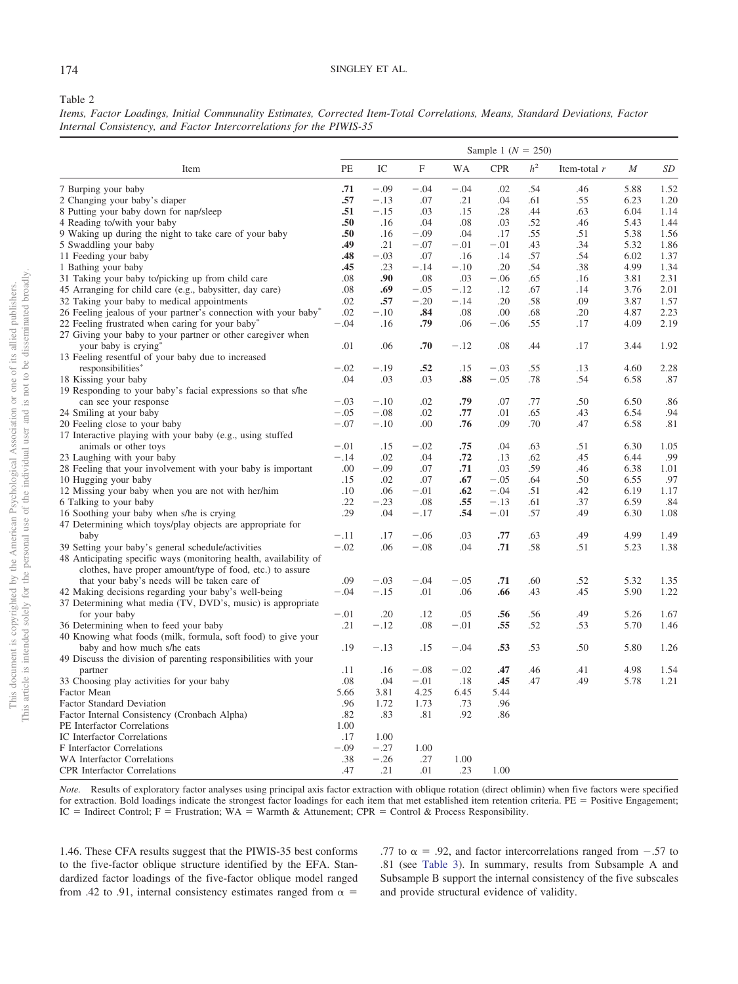## 174 SINGLEY ET AL.

### <span id="page-7-0"></span>Table 2

*Items, Factor Loadings, Initial Communality Estimates, Corrected Item-Total Correlations, Means, Standard Deviations, Factor Internal Consistency, and Factor Intercorrelations for the PIWIS-35*

|                                                                                                                                |        |        |        |           | Sample 1 ( $N = 250$ ) |                |                |      |      |
|--------------------------------------------------------------------------------------------------------------------------------|--------|--------|--------|-----------|------------------------|----------------|----------------|------|------|
| Item                                                                                                                           | PE     | IC     | F      | <b>WA</b> | <b>CPR</b>             | h <sup>2</sup> | Item-total $r$ | М    | SD   |
| 7 Burping your baby                                                                                                            | .71    | $-.09$ | $-.04$ | $-.04$    | .02                    | .54            | .46            | 5.88 | 1.52 |
| 2 Changing your baby's diaper                                                                                                  | .57    | $-.13$ | .07    | .21       | .04                    | .61            | .55            | 6.23 | 1.20 |
| 8 Putting your baby down for nap/sleep                                                                                         | .51    | $-.15$ | .03    | .15       | .28                    | .44            | .63            | 6.04 | 1.14 |
| 4 Reading to/with your baby                                                                                                    | .50    | .16    | .04    | .08       | .03                    | .52            | .46            | 5.43 | 1.44 |
| 9 Waking up during the night to take care of your baby                                                                         | .50    | .16    | $-.09$ | .04       | .17                    | .55            | .51            | 5.38 | 1.56 |
| 5 Swaddling your baby                                                                                                          | .49    | .21    | $-.07$ | $-.01$    | $-.01$                 | .43            | .34            | 5.32 | 1.86 |
| 11 Feeding your baby                                                                                                           | .48    | $-.03$ | .07    | .16       | .14                    | .57            | .54            | 6.02 | 1.37 |
| 1 Bathing your baby                                                                                                            | .45    | .23    | $-.14$ | $-.10$    | .20                    | .54            | .38            | 4.99 | 1.34 |
| 31 Taking your baby to/picking up from child care                                                                              | .08    | .90    | .08    | .03       | $-.06$                 | .65            | .16            | 3.81 | 2.31 |
| 45 Arranging for child care (e.g., babysitter, day care)                                                                       | .08    | .69    | $-.05$ | $-.12$    | .12                    | .67            | .14            | 3.76 | 2.01 |
| 32 Taking your baby to medical appointments                                                                                    | .02    | .57    | $-.20$ | $-.14$    | .20                    | .58            | .09            | 3.87 | 1.57 |
| 26 Feeling jealous of your partner's connection with your baby*                                                                | .02    | $-.10$ | .84    | .08       | .00                    | .68            | .20            | 4.87 | 2.23 |
| 22 Feeling frustrated when caring for your baby*                                                                               | $-.04$ | .16    | .79    | .06       | $-.06$                 | .55            | .17            | 4.09 | 2.19 |
| 27 Giving your baby to your partner or other caregiver when                                                                    |        |        |        |           |                        |                |                |      |      |
| your baby is crying*                                                                                                           | .01    | .06    | .70    | $-.12$    | .08                    | .44            | .17            | 3.44 | 1.92 |
| 13 Feeling resentful of your baby due to increased                                                                             |        |        |        |           |                        |                |                |      |      |
| responsibilities*                                                                                                              | $-.02$ | $-.19$ | .52    | .15       | $-.03$                 | .55            | .13            | 4.60 | 2.28 |
| 18 Kissing your baby                                                                                                           | .04    | .03    | .03    | .88       | $-.05$                 | .78            | .54            | 6.58 | .87  |
| 19 Responding to your baby's facial expressions so that s/he                                                                   |        |        |        |           |                        |                |                |      |      |
| can see your response                                                                                                          | $-.03$ | $-.10$ | .02    | .79       | .07                    | .77            | .50            | 6.50 | .86  |
| 24 Smiling at your baby                                                                                                        | $-.05$ | $-.08$ | .02    | .77       | .01                    | .65            | .43            | 6.54 | .94  |
| 20 Feeling close to your baby                                                                                                  | $-.07$ | $-.10$ | .00    | .76       | .09                    | .70            | .47            | 6.58 | .81  |
| 17 Interactive playing with your baby (e.g., using stuffed                                                                     |        |        |        |           |                        |                |                |      |      |
| animals or other toys                                                                                                          | $-.01$ | .15    | $-.02$ | .75       | .04                    | .63            | .51            | 6.30 | 1.05 |
| 23 Laughing with your baby                                                                                                     | $-.14$ | .02    | .04    | .72       | .13                    | .62            | .45            | 6.44 | .99  |
| 28 Feeling that your involvement with your baby is important                                                                   | .00    | $-.09$ | .07    | .71       | .03                    | .59            | .46            | 6.38 | 1.01 |
| 10 Hugging your baby                                                                                                           | .15    | .02    | .07    | .67       | $-.05$                 | .64            | .50            | 6.55 | .97  |
| 12 Missing your baby when you are not with her/him                                                                             | .10    | .06    | $-.01$ | .62       | $-.04$                 | .51            | .42            | 6.19 | 1.17 |
| 6 Talking to your baby                                                                                                         | .22    | $-.23$ | .08    | .55       | $-.13$                 | .61            | .37            | 6.59 | .84  |
| 16 Soothing your baby when s/he is crying                                                                                      | .29    | .04    | $-.17$ | .54       | $-.01$                 | .57            | .49            | 6.30 | 1.08 |
| 47 Determining which toys/play objects are appropriate for                                                                     |        |        |        |           |                        |                |                |      |      |
| baby                                                                                                                           | $-.11$ | .17    | $-.06$ | .03       | .77                    | .63            | .49            | 4.99 | 1.49 |
| 39 Setting your baby's general schedule/activities                                                                             | $-.02$ | .06    | $-.08$ | .04       | .71                    | .58            | .51            | 5.23 | 1.38 |
| 48 Anticipating specific ways (monitoring health, availability of<br>clothes, have proper amount/type of food, etc.) to assure |        |        |        |           |                        |                |                |      |      |
| that your baby's needs will be taken care of                                                                                   | .09    | $-.03$ | $-.04$ | $-.05$    | .71                    | .60            | .52            | 5.32 | 1.35 |
| 42 Making decisions regarding your baby's well-being                                                                           | $-.04$ | $-.15$ | .01    | .06       | .66                    | .43            | .45            | 5.90 | 1.22 |
| 37 Determining what media (TV, DVD's, music) is appropriate                                                                    |        |        |        |           |                        |                |                |      |      |
| for your baby                                                                                                                  | $-.01$ | .20    | .12    | .05       | .56                    | .56            | .49            | 5.26 | 1.67 |
| 36 Determining when to feed your baby                                                                                          | .21    | $-.12$ | .08    | $-.01$    | .55                    | .52            | .53            | 5.70 | 1.46 |
| 40 Knowing what foods (milk, formula, soft food) to give your                                                                  |        |        |        |           |                        |                |                |      |      |
| baby and how much s/he eats                                                                                                    | .19    | $-.13$ | .15    | $-.04$    | .53                    | .53            | .50            | 5.80 | 1.26 |
| 49 Discuss the division of parenting responsibilities with your                                                                |        |        |        |           |                        |                |                |      |      |
| partner                                                                                                                        | .11    | .16    | $-.08$ | $-.02$    | .47                    | .46            | .41            | 4.98 | 1.54 |
| 33 Choosing play activities for your baby                                                                                      | .08    | .04    | $-.01$ | .18       | .45                    | .47            | .49            | 5.78 | 1.21 |
| Factor Mean                                                                                                                    | 5.66   | 3.81   | 4.25   | 6.45      | 5.44                   |                |                |      |      |
| <b>Factor Standard Deviation</b>                                                                                               | .96    | 1.72   | 1.73   | .73       | .96                    |                |                |      |      |
| Factor Internal Consistency (Cronbach Alpha)                                                                                   | .82    | .83    | .81    | .92       | .86                    |                |                |      |      |
| PE Interfactor Correlations                                                                                                    | 1.00   |        |        |           |                        |                |                |      |      |
| IC Interfactor Correlations                                                                                                    | .17    | 1.00   |        |           |                        |                |                |      |      |
| F Interfactor Correlations                                                                                                     | $-.09$ | $-.27$ | 1.00   |           |                        |                |                |      |      |
| WA Interfactor Correlations                                                                                                    | .38    | $-.26$ | .27    | 1.00      |                        |                |                |      |      |
| <b>CPR</b> Interfactor Correlations                                                                                            | .47    | .21    | .01    | .23       | 1.00                   |                |                |      |      |

*Note.* Results of exploratory factor analyses using principal axis factor extraction with oblique rotation (direct oblimin) when five factors were specified for extraction. Bold loadings indicate the strongest factor loadings for each item that met established item retention criteria. PE = Positive Engagement;  $IC = Indirect Control; F = Frustration; WA = Warmth & Attunement; CPR = Control & Process Responsibility.$ 

1.46. These CFA results suggest that the PIWIS-35 best conforms to the five-factor oblique structure identified by the EFA. Standardized factor loadings of the five-factor oblique model ranged from .42 to .91, internal consistency estimates ranged from  $\alpha$  =

.77 to  $\alpha$  = .92, and factor intercorrelations ranged from  $-.57$  to .81 (see [Table 3\)](#page-8-0). In summary, results from Subsample A and Subsample B support the internal consistency of the five subscales and provide structural evidence of validity.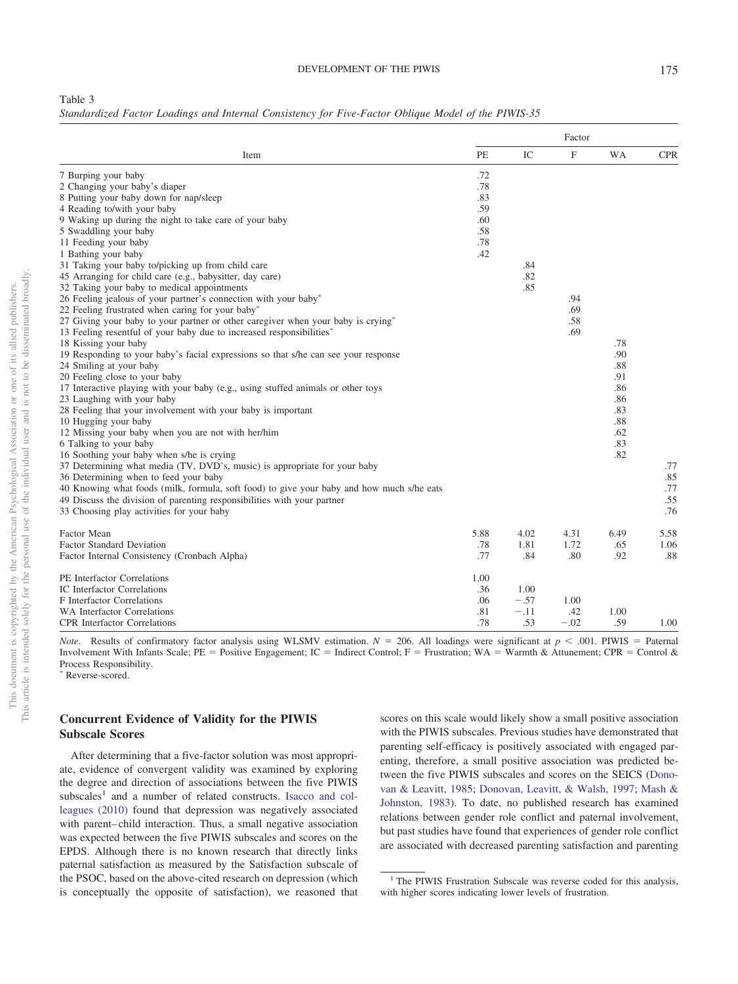#### DEVELOPMENT OF THE PIWIS 175

<span id="page-8-0"></span>

*Standardized Factor Loadings and Internal Consistency for Five-Factor Oblique Model of the PIWIS-35*

|                                                                                           | Factor |        |                           |           |            |  |
|-------------------------------------------------------------------------------------------|--------|--------|---------------------------|-----------|------------|--|
| Item                                                                                      | PE     | IC     | $\boldsymbol{\mathrm{F}}$ | <b>WA</b> | <b>CPR</b> |  |
| 7 Burping your baby                                                                       | .72    |        |                           |           |            |  |
| 2 Changing your baby's diaper                                                             | .78    |        |                           |           |            |  |
| 8 Putting your baby down for nap/sleep                                                    | .83    |        |                           |           |            |  |
| 4 Reading to/with your baby                                                               | .59    |        |                           |           |            |  |
| 9 Waking up during the night to take care of your baby                                    | .60    |        |                           |           |            |  |
| 5 Swaddling your baby                                                                     | .58    |        |                           |           |            |  |
| 11 Feeding your baby                                                                      | .78    |        |                           |           |            |  |
| 1 Bathing your baby                                                                       | .42    |        |                           |           |            |  |
| 31 Taking your baby to/picking up from child care                                         |        | .84    |                           |           |            |  |
| 45 Arranging for child care (e.g., babysitter, day care)                                  |        | .82    |                           |           |            |  |
| 32 Taking your baby to medical appointments                                               |        | .85    |                           |           |            |  |
| 26 Feeling jealous of your partner's connection with your baby*                           |        |        | .94                       |           |            |  |
| 22 Feeling frustrated when caring for your baby*                                          |        |        | .69                       |           |            |  |
| 27 Giving your baby to your partner or other caregiver when your baby is crying*          |        |        | .58                       |           |            |  |
| 13 Feeling resentful of your baby due to increased responsibilities*                      |        |        | .69                       |           |            |  |
| 18 Kissing your baby                                                                      |        |        |                           | .78       |            |  |
| 19 Responding to your baby's facial expressions so that s/he can see your response        |        |        |                           | .90       |            |  |
| 24 Smiling at your baby                                                                   |        |        |                           | .88       |            |  |
| 20 Feeling close to your baby                                                             |        |        |                           | .91       |            |  |
| 17 Interactive playing with your baby (e.g., using stuffed animals or other toys          |        |        |                           | .86       |            |  |
| 23 Laughing with your baby                                                                |        |        |                           | .86       |            |  |
| 28 Feeling that your involvement with your baby is important                              |        |        |                           | .83       |            |  |
| 10 Hugging your baby                                                                      |        |        |                           | .88       |            |  |
| 12 Missing your baby when you are not with her/him                                        |        |        |                           | .62       |            |  |
| 6 Talking to your baby                                                                    |        |        |                           | .83       |            |  |
| 16 Soothing your baby when s/he is crying                                                 |        |        |                           | .82       |            |  |
| 37 Determining what media (TV, DVD's, music) is appropriate for your baby                 |        |        |                           |           | .77        |  |
| 36 Determining when to feed your baby                                                     |        |        |                           |           | .85        |  |
| 40 Knowing what foods (milk, formula, soft food) to give your baby and how much s/he eats |        |        |                           |           | .77        |  |
|                                                                                           |        |        |                           |           | .55        |  |
| 49 Discuss the division of parenting responsibilities with your partner                   |        |        |                           |           |            |  |
| 33 Choosing play activities for your baby                                                 |        |        |                           |           | .76        |  |
| Factor Mean                                                                               | 5.88   | 4.02   | 4.31                      | 6.49      | 5.58       |  |
| <b>Factor Standard Deviation</b>                                                          | .78    | 1.81   | 1.72                      | .65       | 1.06       |  |
| Factor Internal Consistency (Cronbach Alpha)                                              | .77    | .84    | .80                       | .92       | .88        |  |
| PE Interfactor Correlations                                                               | 1.00   |        |                           |           |            |  |
| <b>IC</b> Interfactor Correlations                                                        | .36    | 1.00   |                           |           |            |  |
| F Interfactor Correlations                                                                | .06    | $-.57$ | 1.00                      |           |            |  |
| <b>WA Interfactor Correlations</b>                                                        | .81    | $-.11$ | .42                       | 1.00      |            |  |
| <b>CPR</b> Interfactor Correlations                                                       | .78    | .53    | $-.02$                    | .59       | 1.00       |  |
|                                                                                           |        |        |                           |           |            |  |

*Note.* Results of confirmatory factor analysis using WLSMV estimation.  $N = 206$ . All loadings were significant at  $p < .001$ . PIWIS = Paternal Involvement With Infants Scale; PE = Positive Engagement; IC = Indirect Control; F = Frustration; WA = Warmth & Attunement; CPR = Control & Process Responsibility. \* Reverse-scored.

# **Concurrent Evidence of Validity for the PIWIS Subscale Scores**

After determining that a five-factor solution was most appropriate, evidence of convergent validity was examined by exploring the degree and direction of associations between the five PIWIS subscales<sup>1</sup> and a number of related constructs. [Isacco and col](#page-13-1)[leagues \(2010\)](#page-13-1) found that depression was negatively associated with parent– child interaction. Thus, a small negative association was expected between the five PIWIS subscales and scores on the EPDS. Although there is no known research that directly links paternal satisfaction as measured by the Satisfaction subscale of the PSOC, based on the above-cited research on depression (which is conceptually the opposite of satisfaction), we reasoned that scores on this scale would likely show a small positive association with the PIWIS subscales. Previous studies have demonstrated that parenting self-efficacy is positively associated with engaged parenting, therefore, a small positive association was predicted between the five PIWIS subscales and scores on the SEICS [\(Dono](#page-12-24)[van & Leavitt, 1985;](#page-12-24) [Donovan, Leavitt, & Walsh, 1997;](#page-12-25) [Mash &](#page-13-23) [Johnston, 1983\)](#page-13-23). To date, no published research has examined relations between gender role conflict and paternal involvement, but past studies have found that experiences of gender role conflict are associated with decreased parenting satisfaction and parenting

<sup>&</sup>lt;sup>1</sup> The PIWIS Frustration Subscale was reverse coded for this analysis, with higher scores indicating lower levels of frustration.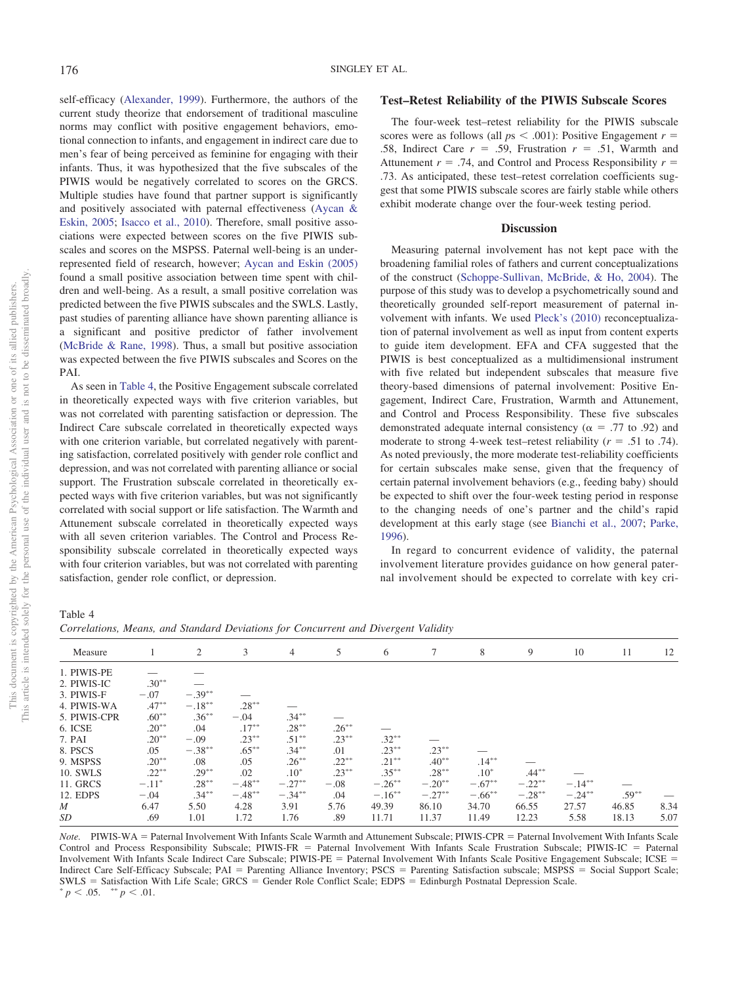self-efficacy [\(Alexander, 1999\)](#page-12-26). Furthermore, the authors of the current study theorize that endorsement of traditional masculine norms may conflict with positive engagement behaviors, emotional connection to infants, and engagement in indirect care due to men's fear of being perceived as feminine for engaging with their infants. Thus, it was hypothesized that the five subscales of the PIWIS would be negatively correlated to scores on the GRCS. Multiple studies have found that partner support is significantly and positively associated with paternal effectiveness [\(Aycan &](#page-12-27) [Eskin, 2005;](#page-12-27) [Isacco et al., 2010\)](#page-13-1). Therefore, small positive associations were expected between scores on the five PIWIS subscales and scores on the MSPSS. Paternal well-being is an underrepresented field of research, however; [Aycan and Eskin \(2005\)](#page-12-27) found a small positive association between time spent with children and well-being. As a result, a small positive correlation was predicted between the five PIWIS subscales and the SWLS. Lastly, past studies of parenting alliance have shown parenting alliance is a significant and positive predictor of father involvement [\(McBride & Rane, 1998\)](#page-13-24). Thus, a small but positive association was expected between the five PIWIS subscales and Scores on the PAI.

As seen in [Table 4,](#page-9-0) the Positive Engagement subscale correlated in theoretically expected ways with five criterion variables, but was not correlated with parenting satisfaction or depression. The Indirect Care subscale correlated in theoretically expected ways with one criterion variable, but correlated negatively with parenting satisfaction, correlated positively with gender role conflict and depression, and was not correlated with parenting alliance or social support. The Frustration subscale correlated in theoretically expected ways with five criterion variables, but was not significantly correlated with social support or life satisfaction. The Warmth and Attunement subscale correlated in theoretically expected ways with all seven criterion variables. The Control and Process Responsibility subscale correlated in theoretically expected ways with four criterion variables, but was not correlated with parenting satisfaction, gender role conflict, or depression.

#### **Test–Retest Reliability of the PIWIS Subscale Scores**

The four-week test–retest reliability for the PIWIS subscale scores were as follows (all  $ps < .001$ ): Positive Engagement  $r =$ .58, Indirect Care  $r = .59$ , Frustration  $r = .51$ , Warmth and Attunement  $r = .74$ , and Control and Process Responsibility  $r =$ .73. As anticipated, these test–retest correlation coefficients suggest that some PIWIS subscale scores are fairly stable while others exhibit moderate change over the four-week testing period.

#### **Discussion**

Measuring paternal involvement has not kept pace with the broadening familial roles of fathers and current conceptualizations of the construct [\(Schoppe-Sullivan, McBride, & Ho, 2004\)](#page-14-26). The purpose of this study was to develop a psychometrically sound and theoretically grounded self-report measurement of paternal involvement with infants. We used [Pleck's \(2010\)](#page-14-12) reconceptualization of paternal involvement as well as input from content experts to guide item development. EFA and CFA suggested that the PIWIS is best conceptualized as a multidimensional instrument with five related but independent subscales that measure five theory-based dimensions of paternal involvement: Positive Engagement, Indirect Care, Frustration, Warmth and Attunement, and Control and Process Responsibility. These five subscales demonstrated adequate internal consistency ( $\alpha$  = .77 to .92) and moderate to strong 4-week test–retest reliability  $(r = .51$  to .74). As noted previously, the more moderate test-reliability coefficients for certain subscales make sense, given that the frequency of certain paternal involvement behaviors (e.g., feeding baby) should be expected to shift over the four-week testing period in response to the changing needs of one's partner and the child's rapid development at this early stage (see [Bianchi et al., 2007;](#page-12-15) [Parke,](#page-14-3) [1996\)](#page-14-3).

In regard to concurrent evidence of validity, the paternal involvement literature provides guidance on how general paternal involvement should be expected to correlate with key cri-

<span id="page-9-0"></span>Table 4

*Correlations, Means, and Standard Deviations for Concurrent and Divergent Validity*

| Measure          |          | 2         | 3         | 4         | 5        | 6         | 7         | 8         | 9         | 10        | 11       | 12   |
|------------------|----------|-----------|-----------|-----------|----------|-----------|-----------|-----------|-----------|-----------|----------|------|
| 1. PIWIS-PE      |          |           |           |           |          |           |           |           |           |           |          |      |
| 2. PIWIS-IC      | $.30***$ |           |           |           |          |           |           |           |           |           |          |      |
| 3. PIWIS-F       | $-.07$   | $-.39***$ |           |           |          |           |           |           |           |           |          |      |
| 4. PIWIS-WA      | $.47***$ | $-.18***$ | $.28***$  |           |          |           |           |           |           |           |          |      |
| 5. PIWIS-CPR     | $.60***$ | $.36***$  | $-.04$    | $.34***$  |          |           |           |           |           |           |          |      |
| 6. ICSE          | $.20***$ | .04       | $.17***$  | $.28***$  | $.26***$ |           |           |           |           |           |          |      |
| 7. PAI           | $.20***$ | $-.09$    | $.23***$  | $.51***$  | $.23***$ | $.32***$  |           |           |           |           |          |      |
| 8. PSCS          | .05      | $-.38***$ | $.65***$  | $.34***$  | .01      | $.23***$  | $.23***$  |           |           |           |          |      |
| 9. MSPSS         | $.20***$ | .08       | .05       | $.26***$  | $.22***$ | $.21***$  | $.40***$  | $.14***$  |           |           |          |      |
| 10. SWLS         | $.22***$ | $.29***$  | .02       | $.10*$    | $.23***$ | $.35***$  | $.28***$  | $.10*$    | $.44***$  |           |          |      |
| 11. GRCS         | $-.11*$  | $.28***$  | $-.48***$ | $-.27***$ | $-.08$   | $-.26***$ | $-.20**$  | $-.67***$ | $-.22***$ | $-.14***$ |          |      |
| 12. EDPS         | $-.04$   | $.34***$  | $-.48***$ | $-.34***$ | .04      | $-.16***$ | $-.27***$ | $-.66***$ | $-.28***$ | $-.24***$ | $.59***$ |      |
| $\boldsymbol{M}$ | 6.47     | 5.50      | 4.28      | 3.91      | 5.76     | 49.39     | 86.10     | 34.70     | 66.55     | 27.57     | 46.85    | 8.34 |
| SD               | .69      | 1.01      | 1.72      | 1.76      | .89      | 11.71     | 11.37     | 11.49     | 12.23     | 5.58      | 18.13    | 5.07 |
|                  |          |           |           |           |          |           |           |           |           |           |          |      |

Note. PIWIS-WA = Paternal Involvement With Infants Scale Warmth and Attunement Subscale; PIWIS-CPR = Paternal Involvement With Infants Scale Control and Process Responsibility Subscale; PIWIS-FR = Paternal Involvement With Infants Scale Frustration Subscale; PIWIS-IC = Paternal Involvement With Infants Scale Indirect Care Subscale; PIWIS-PE = Paternal Involvement With Infants Scale Positive Engagement Subscale; ICSE = Indirect Care Self-Efficacy Subscale; PAI = Parenting Alliance Inventory; PSCS = Parenting Satisfaction subscale; MSPSS = Social Support Scale;  $SWLS =$  Satisfaction With Life Scale; GRCS = Gender Role Conflict Scale; EDPS = Edinburgh Postnatal Depression Scale.  $p < .05.$  \*\*  $p < .01.$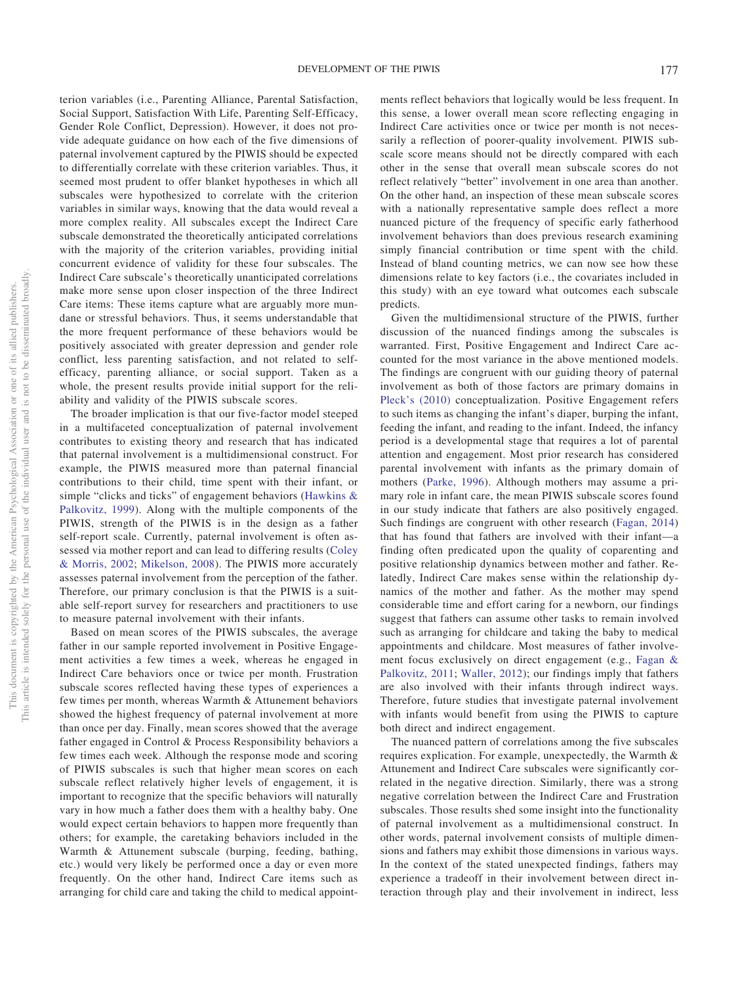terion variables (i.e., Parenting Alliance, Parental Satisfaction, Social Support, Satisfaction With Life, Parenting Self-Efficacy, Gender Role Conflict, Depression). However, it does not provide adequate guidance on how each of the five dimensions of paternal involvement captured by the PIWIS should be expected to differentially correlate with these criterion variables. Thus, it seemed most prudent to offer blanket hypotheses in which all subscales were hypothesized to correlate with the criterion variables in similar ways, knowing that the data would reveal a more complex reality. All subscales except the Indirect Care subscale demonstrated the theoretically anticipated correlations with the majority of the criterion variables, providing initial concurrent evidence of validity for these four subscales. The Indirect Care subscale's theoretically unanticipated correlations make more sense upon closer inspection of the three Indirect Care items: These items capture what are arguably more mundane or stressful behaviors. Thus, it seems understandable that the more frequent performance of these behaviors would be positively associated with greater depression and gender role conflict, less parenting satisfaction, and not related to selfefficacy, parenting alliance, or social support. Taken as a whole, the present results provide initial support for the reliability and validity of the PIWIS subscale scores.

The broader implication is that our five-factor model steeped in a multifaceted conceptualization of paternal involvement contributes to existing theory and research that has indicated that paternal involvement is a multidimensional construct. For example, the PIWIS measured more than paternal financial contributions to their child, time spent with their infant, or simple "clicks and ticks" of engagement behaviors [\(Hawkins &](#page-13-25) [Palkovitz, 1999\)](#page-13-25). Along with the multiple components of the PIWIS, strength of the PIWIS is in the design as a father self-report scale. Currently, paternal involvement is often assessed via mother report and can lead to differing results [\(Coley](#page-12-28) [& Morris, 2002;](#page-12-28) [Mikelson, 2008\)](#page-13-26). The PIWIS more accurately assesses paternal involvement from the perception of the father. Therefore, our primary conclusion is that the PIWIS is a suitable self-report survey for researchers and practitioners to use to measure paternal involvement with their infants.

Based on mean scores of the PIWIS subscales, the average father in our sample reported involvement in Positive Engagement activities a few times a week, whereas he engaged in Indirect Care behaviors once or twice per month. Frustration subscale scores reflected having these types of experiences a few times per month, whereas Warmth & Attunement behaviors showed the highest frequency of paternal involvement at more than once per day. Finally, mean scores showed that the average father engaged in Control & Process Responsibility behaviors a few times each week. Although the response mode and scoring of PIWIS subscales is such that higher mean scores on each subscale reflect relatively higher levels of engagement, it is important to recognize that the specific behaviors will naturally vary in how much a father does them with a healthy baby. One would expect certain behaviors to happen more frequently than others; for example, the caretaking behaviors included in the Warmth & Attunement subscale (burping, feeding, bathing, etc.) would very likely be performed once a day or even more frequently. On the other hand, Indirect Care items such as arranging for child care and taking the child to medical appointments reflect behaviors that logically would be less frequent. In this sense, a lower overall mean score reflecting engaging in Indirect Care activities once or twice per month is not necessarily a reflection of poorer-quality involvement. PIWIS subscale score means should not be directly compared with each other in the sense that overall mean subscale scores do not reflect relatively "better" involvement in one area than another. On the other hand, an inspection of these mean subscale scores with a nationally representative sample does reflect a more nuanced picture of the frequency of specific early fatherhood involvement behaviors than does previous research examining simply financial contribution or time spent with the child. Instead of bland counting metrics, we can now see how these dimensions relate to key factors (i.e., the covariates included in this study) with an eye toward what outcomes each subscale predicts.

Given the multidimensional structure of the PIWIS, further discussion of the nuanced findings among the subscales is warranted. First, Positive Engagement and Indirect Care accounted for the most variance in the above mentioned models. The findings are congruent with our guiding theory of paternal involvement as both of those factors are primary domains in [Pleck's \(2010\)](#page-14-12) conceptualization. Positive Engagement refers to such items as changing the infant's diaper, burping the infant, feeding the infant, and reading to the infant. Indeed, the infancy period is a developmental stage that requires a lot of parental attention and engagement. Most prior research has considered parental involvement with infants as the primary domain of mothers [\(Parke, 1996\)](#page-14-3). Although mothers may assume a primary role in infant care, the mean PIWIS subscale scores found in our study indicate that fathers are also positively engaged. Such findings are congruent with other research [\(Fagan, 2014\)](#page-12-29) that has found that fathers are involved with their infant—a finding often predicated upon the quality of coparenting and positive relationship dynamics between mother and father. Relatedly, Indirect Care makes sense within the relationship dynamics of the mother and father. As the mother may spend considerable time and effort caring for a newborn, our findings suggest that fathers can assume other tasks to remain involved such as arranging for childcare and taking the baby to medical appointments and childcare. Most measures of father involvement focus exclusively on direct engagement (e.g., [Fagan &](#page-13-8) [Palkovitz, 2011;](#page-13-8) [Waller, 2012\)](#page-14-27); our findings imply that fathers are also involved with their infants through indirect ways. Therefore, future studies that investigate paternal involvement with infants would benefit from using the PIWIS to capture both direct and indirect engagement.

The nuanced pattern of correlations among the five subscales requires explication. For example, unexpectedly, the Warmth & Attunement and Indirect Care subscales were significantly correlated in the negative direction. Similarly, there was a strong negative correlation between the Indirect Care and Frustration subscales. Those results shed some insight into the functionality of paternal involvement as a multidimensional construct. In other words, paternal involvement consists of multiple dimensions and fathers may exhibit those dimensions in various ways. In the context of the stated unexpected findings, fathers may experience a tradeoff in their involvement between direct interaction through play and their involvement in indirect, less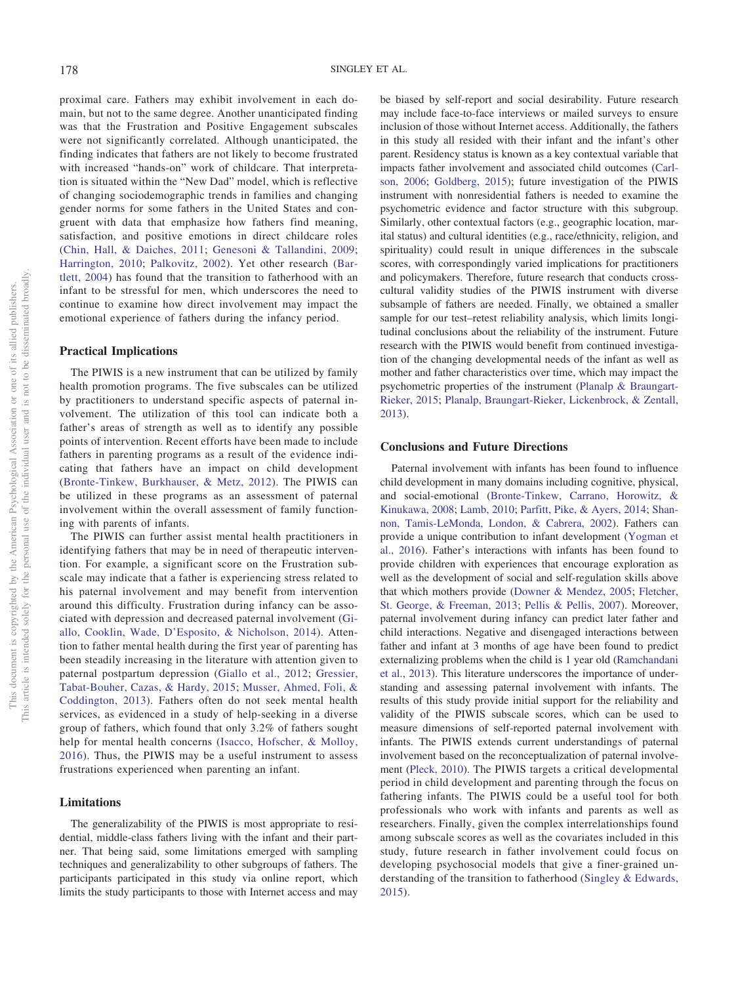proximal care. Fathers may exhibit involvement in each domain, but not to the same degree. Another unanticipated finding was that the Frustration and Positive Engagement subscales were not significantly correlated. Although unanticipated, the finding indicates that fathers are not likely to become frustrated with increased "hands-on" work of childcare. That interpretation is situated within the "New Dad" model, which is reflective of changing sociodemographic trends in families and changing gender norms for some fathers in the United States and congruent with data that emphasize how fathers find meaning, satisfaction, and positive emotions in direct childcare roles [\(Chin, Hall, & Daiches, 2011;](#page-12-30) [Genesoni & Tallandini, 2009;](#page-13-27) [Harrington, 2010;](#page-13-28) [Palkovitz, 2002\)](#page-14-28). Yet other research [\(Bar](#page-12-31)[tlett, 2004\)](#page-12-31) has found that the transition to fatherhood with an infant to be stressful for men, which underscores the need to continue to examine how direct involvement may impact the emotional experience of fathers during the infancy period.

#### **Practical Implications**

The PIWIS is a new instrument that can be utilized by family health promotion programs. The five subscales can be utilized by practitioners to understand specific aspects of paternal involvement. The utilization of this tool can indicate both a father's areas of strength as well as to identify any possible points of intervention. Recent efforts have been made to include fathers in parenting programs as a result of the evidence indicating that fathers have an impact on child development [\(Bronte-Tinkew, Burkhauser, & Metz, 2012\)](#page-12-32). The PIWIS can be utilized in these programs as an assessment of paternal involvement within the overall assessment of family functioning with parents of infants.

The PIWIS can further assist mental health practitioners in identifying fathers that may be in need of therapeutic intervention. For example, a significant score on the Frustration subscale may indicate that a father is experiencing stress related to his paternal involvement and may benefit from intervention around this difficulty. Frustration during infancy can be associated with depression and decreased paternal involvement [\(Gi](#page-13-29)[allo, Cooklin, Wade, D'Esposito, & Nicholson, 2014\)](#page-13-29). Attention to father mental health during the first year of parenting has been steadily increasing in the literature with attention given to paternal postpartum depression [\(Giallo et al., 2012;](#page-13-30) [Gressier,](#page-13-31) [Tabat-Bouher, Cazas, & Hardy, 2015;](#page-13-31) [Musser, Ahmed, Foli, &](#page-13-32) [Coddington, 2013\)](#page-13-32). Fathers often do not seek mental health services, as evidenced in a study of help-seeking in a diverse group of fathers, which found that only 3.2% of fathers sought help for mental health concerns [\(Isacco, Hofscher, & Molloy,](#page-13-33) [2016\)](#page-13-33). Thus, the PIWIS may be a useful instrument to assess frustrations experienced when parenting an infant.

## **Limitations**

The generalizability of the PIWIS is most appropriate to residential, middle-class fathers living with the infant and their partner. That being said, some limitations emerged with sampling techniques and generalizability to other subgroups of fathers. The participants participated in this study via online report, which limits the study participants to those with Internet access and may be biased by self-report and social desirability. Future research may include face-to-face interviews or mailed surveys to ensure inclusion of those without Internet access. Additionally, the fathers in this study all resided with their infant and the infant's other parent. Residency status is known as a key contextual variable that impacts father involvement and associated child outcomes [\(Carl](#page-12-33)[son, 2006;](#page-12-33) [Goldberg, 2015\)](#page-13-34); future investigation of the PIWIS instrument with nonresidential fathers is needed to examine the psychometric evidence and factor structure with this subgroup. Similarly, other contextual factors (e.g., geographic location, marital status) and cultural identities (e.g., race/ethnicity, religion, and spirituality) could result in unique differences in the subscale scores, with correspondingly varied implications for practitioners and policymakers. Therefore, future research that conducts crosscultural validity studies of the PIWIS instrument with diverse subsample of fathers are needed. Finally, we obtained a smaller sample for our test–retest reliability analysis, which limits longitudinal conclusions about the reliability of the instrument. Future research with the PIWIS would benefit from continued investigation of the changing developmental needs of the infant as well as mother and father characteristics over time, which may impact the psychometric properties of the instrument [\(Planalp & Braungart-](#page-14-29)[Rieker, 2015;](#page-14-29) [Planalp, Braungart-Rieker, Lickenbrock, & Zentall,](#page-14-30) [2013\)](#page-14-30).

### **Conclusions and Future Directions**

Paternal involvement with infants has been found to influence child development in many domains including cognitive, physical, and social-emotional [\(Bronte-Tinkew, Carrano, Horowitz, &](#page-12-34) [Kinukawa, 2008;](#page-12-34) [Lamb, 2010;](#page-13-2) [Parfitt, Pike, & Ayers, 2014;](#page-14-31) [Shan](#page-14-32)[non, Tamis-LeMonda, London, & Cabrera, 2002\)](#page-14-32). Fathers can provide a unique contribution to infant development [\(Yogman et](#page-14-2) [al., 2016\)](#page-14-2). Father's interactions with infants has been found to provide children with experiences that encourage exploration as well as the development of social and self-regulation skills above that which mothers provide [\(Downer & Mendez, 2005;](#page-12-35) [Fletcher,](#page-13-35) [St. George, & Freeman, 2013;](#page-13-35) [Pellis & Pellis, 2007\)](#page-14-33). Moreover, paternal involvement during infancy can predict later father and child interactions. Negative and disengaged interactions between father and infant at 3 months of age have been found to predict externalizing problems when the child is 1 year old [\(Ramchandani](#page-14-9) [et al., 2013\)](#page-14-9). This literature underscores the importance of understanding and assessing paternal involvement with infants. The results of this study provide initial support for the reliability and validity of the PIWIS subscale scores, which can be used to measure dimensions of self-reported paternal involvement with infants. The PIWIS extends current understandings of paternal involvement based on the reconceptualization of paternal involvement [\(Pleck, 2010\)](#page-14-12). The PIWIS targets a critical developmental period in child development and parenting through the focus on fathering infants. The PIWIS could be a useful tool for both professionals who work with infants and parents as well as researchers. Finally, given the complex interrelationships found among subscale scores as well as the covariates included in this study, future research in father involvement could focus on developing psychosocial models that give a finer-grained understanding of the transition to fatherhood [\(Singley & Edwards,](#page-14-34) [2015\)](#page-14-34).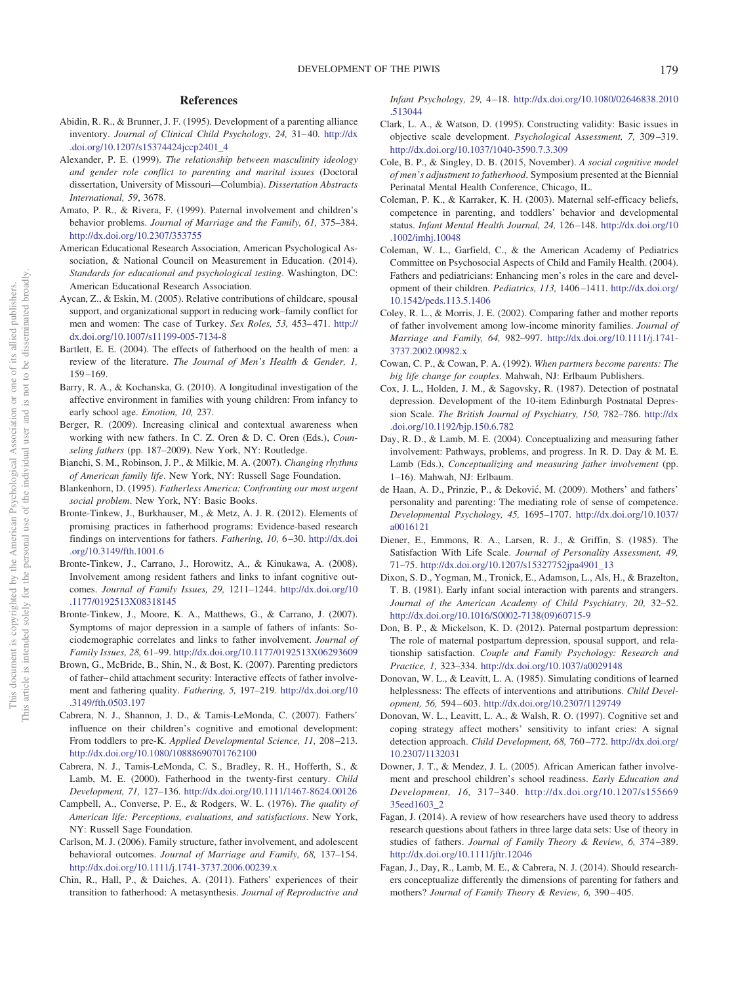## **References**

- <span id="page-12-19"></span>Abidin, R. R., & Brunner, J. F. (1995). Development of a parenting alliance inventory. *Journal of Clinical Child Psychology, 24,* 31– 40. [http://dx](http://dx.doi.org/10.1207/s15374424jccp2401_4) [.doi.org/10.1207/s15374424jccp2401\\_4](http://dx.doi.org/10.1207/s15374424jccp2401_4)
- <span id="page-12-26"></span>Alexander, P. E. (1999). *The relationship between masculinity ideology and gender role conflict to parenting and marital issues* (Doctoral dissertation, University of Missouri—Columbia). *Dissertation Abstracts International, 59*, 3678.
- <span id="page-12-12"></span>Amato, P. R., & Rivera, F. (1999). Paternal involvement and children's behavior problems. *Journal of Marriage and the Family, 61,* 375–384. <http://dx.doi.org/10.2307/353755>
- <span id="page-12-23"></span>American Educational Research Association, American Psychological Association, & National Council on Measurement in Education. (2014). *Standards for educational and psychological testing*. Washington, DC: American Educational Research Association.
- <span id="page-12-27"></span>Aycan, Z., & Eskin, M. (2005). Relative contributions of childcare, spousal support, and organizational support in reducing work–family conflict for men and women: The case of Turkey. *Sex Roles*, 53, 453-471. [http://](http://dx.doi.org/10.1007/s11199-005-7134-8) [dx.doi.org/10.1007/s11199-005-7134-8](http://dx.doi.org/10.1007/s11199-005-7134-8)
- <span id="page-12-31"></span>Bartlett, E. E. (2004). The effects of fatherhood on the health of men: a review of the literature. *The Journal of Men's Health & Gender, 1,* 159 –169.
- <span id="page-12-3"></span>Barry, R. A., & Kochanska, G. (2010). A longitudinal investigation of the affective environment in families with young children: From infancy to early school age. *Emotion, 10,* 237.
- <span id="page-12-13"></span>Berger, R. (2009). Increasing clinical and contextual awareness when working with new fathers. In C. Z. Oren & D. C. Oren (Eds.), *Counseling fathers* (pp. 187–2009). New York, NY: Routledge.
- <span id="page-12-15"></span>Bianchi, S. M., Robinson, J. P., & Milkie, M. A. (2007). *Changing rhythms of American family life*. New York, NY: Russell Sage Foundation.
- <span id="page-12-11"></span>Blankenhorn, D. (1995). *Fatherless America: Confronting our most urgent social problem*. New York, NY: Basic Books.
- <span id="page-12-32"></span>Bronte-Tinkew, J., Burkhauser, M., & Metz, A. J. R. (2012). Elements of promising practices in fatherhood programs: Evidence-based research findings on interventions for fathers. *Fathering, 10,* 6 –30. [http://dx.doi](http://dx.doi.org/10.3149/fth.1001.6) [.org/10.3149/fth.1001.6](http://dx.doi.org/10.3149/fth.1001.6)
- <span id="page-12-34"></span>Bronte-Tinkew, J., Carrano, J., Horowitz, A., & Kinukawa, A. (2008). Involvement among resident fathers and links to infant cognitive outcomes. *Journal of Family Issues, 29,* 1211–1244. [http://dx.doi.org/10](http://dx.doi.org/10.1177/0192513X08318145) [.1177/0192513X08318145](http://dx.doi.org/10.1177/0192513X08318145)
- <span id="page-12-4"></span>Bronte-Tinkew, J., Moore, K. A., Matthews, G., & Carrano, J. (2007). Symptoms of major depression in a sample of fathers of infants: Sociodemographic correlates and links to father involvement. *Journal of Family Issues, 28,* 61–99. <http://dx.doi.org/10.1177/0192513X06293609>
- <span id="page-12-9"></span>Brown, G., McBride, B., Shin, N., & Bost, K. (2007). Parenting predictors of father– child attachment security: Interactive effects of father involvement and fathering quality. *Fathering, 5,* 197–219. [http://dx.doi.org/10](http://dx.doi.org/10.3149/fth.0503.197) [.3149/fth.0503.197](http://dx.doi.org/10.3149/fth.0503.197)
- <span id="page-12-2"></span>Cabrera, N. J., Shannon, J. D., & Tamis-LeMonda, C. (2007). Fathers' influence on their children's cognitive and emotional development: From toddlers to pre-K. *Applied Developmental Science, 11,* 208 –213. <http://dx.doi.org/10.1080/10888690701762100>
- <span id="page-12-8"></span>Cabrera, N. J., Tamis-LeMonda, C. S., Bradley, R. H., Hofferth, S., & Lamb, M. E. (2000). Fatherhood in the twenty-first century. *Child Development, 71,* 127–136. <http://dx.doi.org/10.1111/1467-8624.00126>
- <span id="page-12-18"></span>Campbell, A., Converse, P. E., & Rodgers, W. L. (1976). *The quality of American life: Perceptions, evaluations, and satisfactions*. New York, NY: Russell Sage Foundation.
- <span id="page-12-33"></span>Carlson, M. J. (2006). Family structure, father involvement, and adolescent behavioral outcomes. *Journal of Marriage and Family, 68,* 137–154. <http://dx.doi.org/10.1111/j.1741-3737.2006.00239.x>
- <span id="page-12-30"></span>Chin, R., Hall, P., & Daiches, A. (2011). Fathers' experiences of their transition to fatherhood: A metasynthesis. *Journal of Reproductive and*

*Infant Psychology, 29,* 4 –18. [http://dx.doi.org/10.1080/02646838.2010](http://dx.doi.org/10.1080/02646838.2010.513044) [.513044](http://dx.doi.org/10.1080/02646838.2010.513044)

- <span id="page-12-22"></span>Clark, L. A., & Watson, D. (1995). Constructing validity: Basic issues in objective scale development. *Psychological Assessment, 7,* 309 –319. <http://dx.doi.org/10.1037/1040-3590.7.3.309>
- <span id="page-12-21"></span>Cole, B. P., & Singley, D. B. (2015, November). *A social cognitive model of men's adjustment to fatherhood*. Symposium presented at the Biennial Perinatal Mental Health Conference, Chicago, IL.
- <span id="page-12-20"></span>Coleman, P. K., & Karraker, K. H. (2003). Maternal self-efficacy beliefs, competence in parenting, and toddlers' behavior and developmental status. *Infant Mental Health Journal, 24,* 126 –148. [http://dx.doi.org/10](http://dx.doi.org/10.1002/imhj.10048) [.1002/imhj.10048](http://dx.doi.org/10.1002/imhj.10048)
- <span id="page-12-0"></span>Coleman, W. L., Garfield, C., & the American Academy of Pediatrics Committee on Psychosocial Aspects of Child and Family Health. (2004). Fathers and pediatricians: Enhancing men's roles in the care and development of their children. *Pediatrics, 113,* 1406 –1411. [http://dx.doi.org/](http://dx.doi.org/10.1542/peds.113.5.1406) [10.1542/peds.113.5.1406](http://dx.doi.org/10.1542/peds.113.5.1406)
- <span id="page-12-28"></span>Coley, R. L., & Morris, J. E. (2002). Comparing father and mother reports of father involvement among low-income minority families. *Journal of Marriage and Family, 64,* 982–997. [http://dx.doi.org/10.1111/j.1741-](http://dx.doi.org/10.1111/j.1741-3737.2002.00982.x) [3737.2002.00982.x](http://dx.doi.org/10.1111/j.1741-3737.2002.00982.x)
- <span id="page-12-1"></span>Cowan, C. P., & Cowan, P. A. (1992). *When partners become parents: The big life change for couples*. Mahwah, NJ: Erlbaum Publishers.
- <span id="page-12-16"></span>Cox, J. L., Holden, J. M., & Sagovsky, R. (1987). Detection of postnatal depression. Development of the 10-item Edinburgh Postnatal Depression Scale. *The British Journal of Psychiatry, 150,* 782–786. [http://dx](http://dx.doi.org/10.1192/bjp.150.6.782) [.doi.org/10.1192/bjp.150.6.782](http://dx.doi.org/10.1192/bjp.150.6.782)
- <span id="page-12-7"></span>Day, R. D., & Lamb, M. E. (2004). Conceptualizing and measuring father involvement: Pathways, problems, and progress. In R. D. Day & M. E. Lamb (Eds.), *Conceptualizing and measuring father involvement* (pp. 1–16). Mahwah, NJ: Erlbaum.
- <span id="page-12-6"></span>de Haan, A. D., Prinzie, P., & Deković, M. (2009). Mothers' and fathers' personality and parenting: The mediating role of sense of competence. *Developmental Psychology, 45,* 1695–1707. [http://dx.doi.org/10.1037/](http://dx.doi.org/10.1037/a0016121) [a0016121](http://dx.doi.org/10.1037/a0016121)
- <span id="page-12-17"></span>Diener, E., Emmons, R. A., Larsen, R. J., & Griffin, S. (1985). The Satisfaction With Life Scale. *Journal of Personality Assessment, 49,* 71–75. [http://dx.doi.org/10.1207/s15327752jpa4901\\_13](http://dx.doi.org/10.1207/s15327752jpa4901_13)
- <span id="page-12-14"></span>Dixon, S. D., Yogman, M., Tronick, E., Adamson, L., Als, H., & Brazelton, T. B. (1981). Early infant social interaction with parents and strangers. *Journal of the American Academy of Child Psychiatry, 20,* 32–52. [http://dx.doi.org/10.1016/S0002-7138\(09\)60715-9](http://dx.doi.org/10.1016/S0002-7138%2809%2960715-9)
- <span id="page-12-5"></span>Don, B. P., & Mickelson, K. D. (2012). Paternal postpartum depression: The role of maternal postpartum depression, spousal support, and relationship satisfaction. *Couple and Family Psychology: Research and Practice, 1,* 323–334. <http://dx.doi.org/10.1037/a0029148>
- <span id="page-12-24"></span>Donovan, W. L., & Leavitt, L. A. (1985). Simulating conditions of learned helplessness: The effects of interventions and attributions. *Child Development, 56,* 594 – 603. <http://dx.doi.org/10.2307/1129749>
- <span id="page-12-25"></span>Donovan, W. L., Leavitt, L. A., & Walsh, R. O. (1997). Cognitive set and coping strategy affect mothers' sensitivity to infant cries: A signal detection approach. *Child Development, 68,* 760 –772. [http://dx.doi.org/](http://dx.doi.org/10.2307/1132031) [10.2307/1132031](http://dx.doi.org/10.2307/1132031)
- <span id="page-12-35"></span>Downer, J. T., & Mendez, J. L. (2005). African American father involvement and preschool children's school readiness. *Early Education and Development, 16,* 317–340. [http://dx.doi.org/10.1207/s155669](http://dx.doi.org/10.1207/s15566935eed1603_2) [35eed1603\\_2](http://dx.doi.org/10.1207/s15566935eed1603_2)
- <span id="page-12-29"></span>Fagan, J. (2014). A review of how researchers have used theory to address research questions about fathers in three large data sets: Use of theory in studies of fathers. *Journal of Family Theory & Review, 6,* 374 –389. <http://dx.doi.org/10.1111/jftr.12046>
- <span id="page-12-10"></span>Fagan, J., Day, R., Lamb, M. E., & Cabrera, N. J. (2014). Should researchers conceptualize differently the dimensions of parenting for fathers and mothers? *Journal of Family Theory & Review, 6, 390-405.*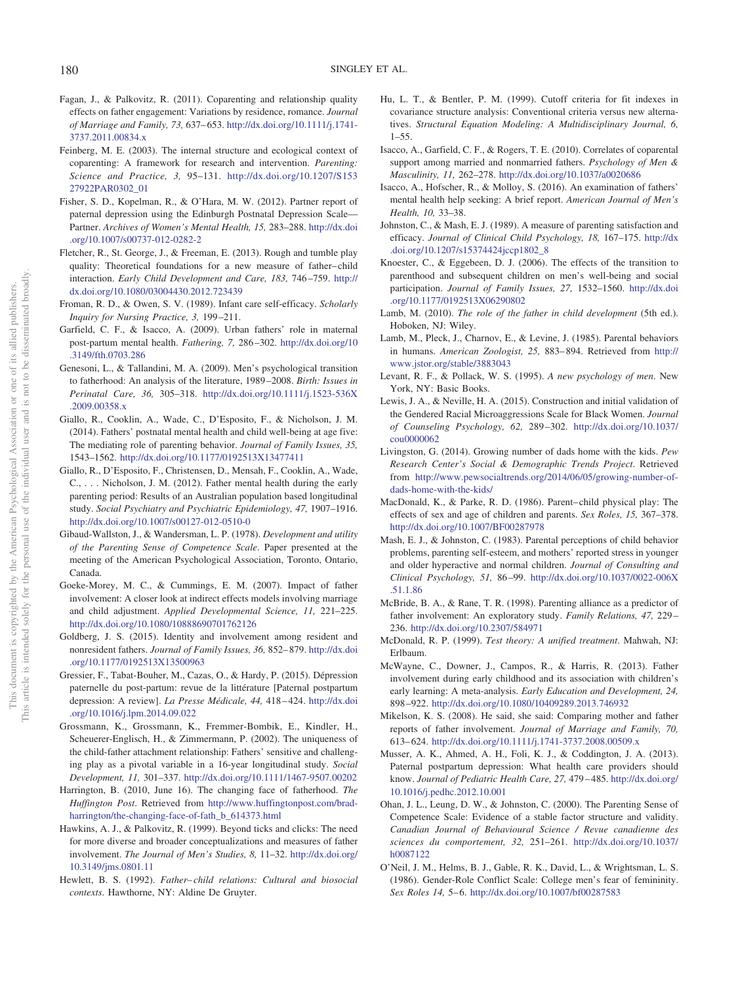- <span id="page-13-8"></span>Fagan, J., & Palkovitz, R. (2011). Coparenting and relationship quality effects on father engagement: Variations by residence, romance. *Journal of Marriage and Family, 73,* 637– 653. [http://dx.doi.org/10.1111/j.1741-](http://dx.doi.org/10.1111/j.1741-3737.2011.00834.x) [3737.2011.00834.x](http://dx.doi.org/10.1111/j.1741-3737.2011.00834.x)
- <span id="page-13-6"></span>Feinberg, M. E. (2003). The internal structure and ecological context of coparenting: A framework for research and intervention. *Parenting: Science and Practice, 3,* 95–131. [http://dx.doi.org/10.1207/S153](http://dx.doi.org/10.1207/S15327922PAR0302_01) [27922PAR0302\\_01](http://dx.doi.org/10.1207/S15327922PAR0302_01)
- <span id="page-13-12"></span>Fisher, S. D., Kopelman, R., & O'Hara, M. W. (2012). Partner report of paternal depression using the Edinburgh Postnatal Depression Scale— Partner. *Archives of Women's Mental Health, 15,* 283–288. [http://dx.doi](http://dx.doi.org/10.1007/s00737-012-0282-2) [.org/10.1007/s00737-012-0282-2](http://dx.doi.org/10.1007/s00737-012-0282-2)
- <span id="page-13-35"></span>Fletcher, R., St. George, J., & Freeman, E. (2013). Rough and tumble play quality: Theoretical foundations for a new measure of father-child interaction. *Early Child Development and Care, 183,* 746 –759. [http://](http://dx.doi.org/10.1080/03004430.2012.723439) [dx.doi.org/10.1080/03004430.2012.723439](http://dx.doi.org/10.1080/03004430.2012.723439)
- <span id="page-13-16"></span>Froman, R. D., & Owen, S. V. (1989). Infant care self-efficacy. *Scholarly Inquiry for Nursing Practice, 3,* 199 –211.
- <span id="page-13-3"></span>Garfield, C. F., & Isacco, A. (2009). Urban fathers' role in maternal post-partum mental health. *Fathering, 7,* 286 –302. [http://dx.doi.org/10](http://dx.doi.org/10.3149/fth.0703.286) [.3149/fth.0703.286](http://dx.doi.org/10.3149/fth.0703.286)
- <span id="page-13-27"></span>Genesoni, L., & Tallandini, M. A. (2009). Men's psychological transition to fatherhood: An analysis of the literature, 1989 –2008. *Birth: Issues in Perinatal Care, 36,* 305–318. [http://dx.doi.org/10.1111/j.1523-536X](http://dx.doi.org/10.1111/j.1523-536X.2009.00358.x) [.2009.00358.x](http://dx.doi.org/10.1111/j.1523-536X.2009.00358.x)
- <span id="page-13-29"></span>Giallo, R., Cooklin, A., Wade, C., D'Esposito, F., & Nicholson, J. M. (2014). Fathers' postnatal mental health and child well-being at age five: The mediating role of parenting behavior. *Journal of Family Issues, 35,* 1543–1562. <http://dx.doi.org/10.1177/0192513X13477411>
- <span id="page-13-30"></span>Giallo, R., D'Esposito, F., Christensen, D., Mensah, F., Cooklin, A., Wade, C., . . . Nicholson, J. M. (2012). Father mental health during the early parenting period: Results of an Australian population based longitudinal study. *Social Psychiatry and Psychiatric Epidemiology, 47,* 1907–1916. <http://dx.doi.org/10.1007/s00127-012-0510-0>
- <span id="page-13-13"></span>Gibaud-Wallston, J., & Wandersman, L. P. (1978). *Development and utility of the Parenting Sense of Competence Scale*. Paper presented at the meeting of the American Psychological Association, Toronto, Ontario, Canada.
- <span id="page-13-20"></span>Goeke-Morey, M. C., & Cummings, E. M. (2007). Impact of father involvement: A closer look at indirect effects models involving marriage and child adjustment. *Applied Developmental Science, 11,* 221–225. <http://dx.doi.org/10.1080/10888690701762126>
- <span id="page-13-34"></span>Goldberg, J. S. (2015). Identity and involvement among resident and nonresident fathers. *Journal of Family Issues, 36,* 852– 879. [http://dx.doi](http://dx.doi.org/10.1177/0192513X13500963) [.org/10.1177/0192513X13500963](http://dx.doi.org/10.1177/0192513X13500963)
- <span id="page-13-31"></span>Gressier, F., Tabat-Bouher, M., Cazas, O., & Hardy, P. (2015). Dépression paternelle du post-partum: revue de la littérature [Paternal postpartum depression: A review]. *La Presse Médicale, 44,* 418 – 424. [http://dx.doi](http://dx.doi.org/10.1016/j.lpm.2014.09.022) [.org/10.1016/j.lpm.2014.09.022](http://dx.doi.org/10.1016/j.lpm.2014.09.022)
- <span id="page-13-11"></span>Grossmann, K., Grossmann, K., Fremmer-Bombik, E., Kindler, H., Scheuerer-Englisch, H., & Zimmermann, P. (2002). The uniqueness of the child-father attachment relationship: Fathers' sensitive and challenging play as a pivotal variable in a 16-year longitudinal study. *Social Development, 11,* 301–337. <http://dx.doi.org/10.1111/1467-9507.00202>
- <span id="page-13-28"></span>Harrington, B. (2010, June 16). The changing face of fatherhood. *The Huffington Post*. Retrieved from [http://www.huffingtonpost.com/brad](http://www.huffingtonpost.com/brad-harrington/the-changing-face-of-fath_b_614373.html)[harrington/the-changing-face-of-fath\\_b\\_614373.html](http://www.huffingtonpost.com/brad-harrington/the-changing-face-of-fath_b_614373.html)
- <span id="page-13-25"></span>Hawkins, A. J., & Palkovitz, R. (1999). Beyond ticks and clicks: The need for more diverse and broader conceptualizations and measures of father involvement. *The Journal of Men's Studies, 8,* 11–32. [http://dx.doi.org/](http://dx.doi.org/10.3149/jms.0801.11) [10.3149/jms.0801.11](http://dx.doi.org/10.3149/jms.0801.11)
- <span id="page-13-9"></span>Hewlett, B. S. (1992). *Father– child relations: Cultural and biosocial contexts*. Hawthorne, NY: Aldine De Gruyter.
- <span id="page-13-19"></span>Hu, L. T., & Bentler, P. M. (1999). Cutoff criteria for fit indexes in covariance structure analysis: Conventional criteria versus new alternatives. *Structural Equation Modeling: A Multidisciplinary Journal, 6,* 1–55.
- <span id="page-13-1"></span>Isacco, A., Garfield, C. F., & Rogers, T. E. (2010). Correlates of coparental support among married and nonmarried fathers. *Psychology of Men & Masculinity, 11,* 262–278. <http://dx.doi.org/10.1037/a0020686>
- <span id="page-13-33"></span>Isacco, A., Hofscher, R., & Molloy, S. (2016). An examination of fathers' mental health help seeking: A brief report. *American Journal of Men's Health, 10,* 33–38.
- <span id="page-13-15"></span>Johnston, C., & Mash, E. J. (1989). A measure of parenting satisfaction and efficacy. *Journal of Clinical Child Psychology, 18,* 167–175. [http://dx](http://dx.doi.org/10.1207/s15374424jccp1802_8) [.doi.org/10.1207/s15374424jccp1802\\_8](http://dx.doi.org/10.1207/s15374424jccp1802_8)
- <span id="page-13-4"></span>Knoester, C., & Eggebeen, D. J. (2006). The effects of the transition to parenthood and subsequent children on men's well-being and social participation. *Journal of Family Issues, 27,* 1532–1560. [http://dx.doi](http://dx.doi.org/10.1177/0192513X06290802) [.org/10.1177/0192513X06290802](http://dx.doi.org/10.1177/0192513X06290802)
- <span id="page-13-2"></span>Lamb, M. (2010). *The role of the father in child development* (5th ed.). Hoboken, NJ: Wiley.
- <span id="page-13-7"></span>Lamb, M., Pleck, J., Charnov, E., & Levine, J. (1985). Parental behaviors in humans. *American Zoologist, 25,* 883– 894. Retrieved from [http://](http://www.jstor.org/stable/3883043) [www.jstor.org/stable/3883043](http://www.jstor.org/stable/3883043)
- <span id="page-13-21"></span>Levant, R. F., & Pollack, W. S. (1995). *A new psychology of men*. New York, NY: Basic Books.
- <span id="page-13-22"></span>Lewis, J. A., & Neville, H. A. (2015). Construction and initial validation of the Gendered Racial Microaggressions Scale for Black Women. *Journal of Counseling Psychology, 62,* 289 –302. [http://dx.doi.org/10.1037/](http://dx.doi.org/10.1037/cou0000062) [cou0000062](http://dx.doi.org/10.1037/cou0000062)
- <span id="page-13-0"></span>Livingston, G. (2014). Growing number of dads home with the kids. *Pew Research Center's Social & Demographic Trends Project*. Retrieved from [http://www.pewsocialtrends.org/2014/06/05/growing-number-of](http://www.pewsocialtrends.org/2014/06/05/growing-number-of-dads-home-with-the-kids/)[dads-home-with-the-kids/](http://www.pewsocialtrends.org/2014/06/05/growing-number-of-dads-home-with-the-kids/)
- <span id="page-13-10"></span>MacDonald, K., & Parke, R. D. (1986). Parent– child physical play: The effects of sex and age of children and parents. *Sex Roles, 15,* 367–378. <http://dx.doi.org/10.1007/BF00287978>
- <span id="page-13-23"></span>Mash, E. J., & Johnston, C. (1983). Parental perceptions of child behavior problems, parenting self-esteem, and mothers' reported stress in younger and older hyperactive and normal children. *Journal of Consulting and Clinical Psychology, 51,* 86 –99. [http://dx.doi.org/10.1037/0022-006X](http://dx.doi.org/10.1037/0022-006X.51.1.86) [.51.1.86](http://dx.doi.org/10.1037/0022-006X.51.1.86)
- <span id="page-13-24"></span>McBride, B. A., & Rane, T. R. (1998). Parenting alliance as a predictor of father involvement: An exploratory study. *Family Relations, 47,* 229 – 236. <http://dx.doi.org/10.2307/584971>
- <span id="page-13-18"></span>McDonald, R. P. (1999). *Test theory: A unified treatment*. Mahwah, NJ: Erlbaum.
- <span id="page-13-5"></span>McWayne, C., Downer, J., Campos, R., & Harris, R. (2013). Father involvement during early childhood and its association with children's early learning: A meta-analysis. *Early Education and Development, 24,* 898 –922. <http://dx.doi.org/10.1080/10409289.2013.746932>
- <span id="page-13-26"></span>Mikelson, K. S. (2008). He said, she said: Comparing mother and father reports of father involvement. *Journal of Marriage and Family, 70,* 613– 624. <http://dx.doi.org/10.1111/j.1741-3737.2008.00509.x>
- <span id="page-13-32"></span>Musser, A. K., Ahmed, A. H., Foli, K. J., & Coddington, J. A. (2013). Paternal postpartum depression: What health care providers should know. *Journal of Pediatric Health Care, 27,* 479 – 485. [http://dx.doi.org/](http://dx.doi.org/10.1016/j.pedhc.2012.10.001) [10.1016/j.pedhc.2012.10.001](http://dx.doi.org/10.1016/j.pedhc.2012.10.001)
- <span id="page-13-14"></span>Ohan, J. L., Leung, D. W., & Johnston, C. (2000). The Parenting Sense of Competence Scale: Evidence of a stable factor structure and validity. *Canadian Journal of Behavioural Science / Revue canadienne des sciences du comportement, 32,* 251–261. [http://dx.doi.org/10.1037/](http://dx.doi.org/10.1037/h0087122) [h0087122](http://dx.doi.org/10.1037/h0087122)
- <span id="page-13-17"></span>O'Neil, J. M., Helms, B. J., Gable, R. K., David, L., & Wrightsman, L. S. (1986). Gender-Role Conflict Scale: College men's fear of femininity. *Sex Roles 14, 5-6. <http://dx.doi.org/10.1007/bf00287583>*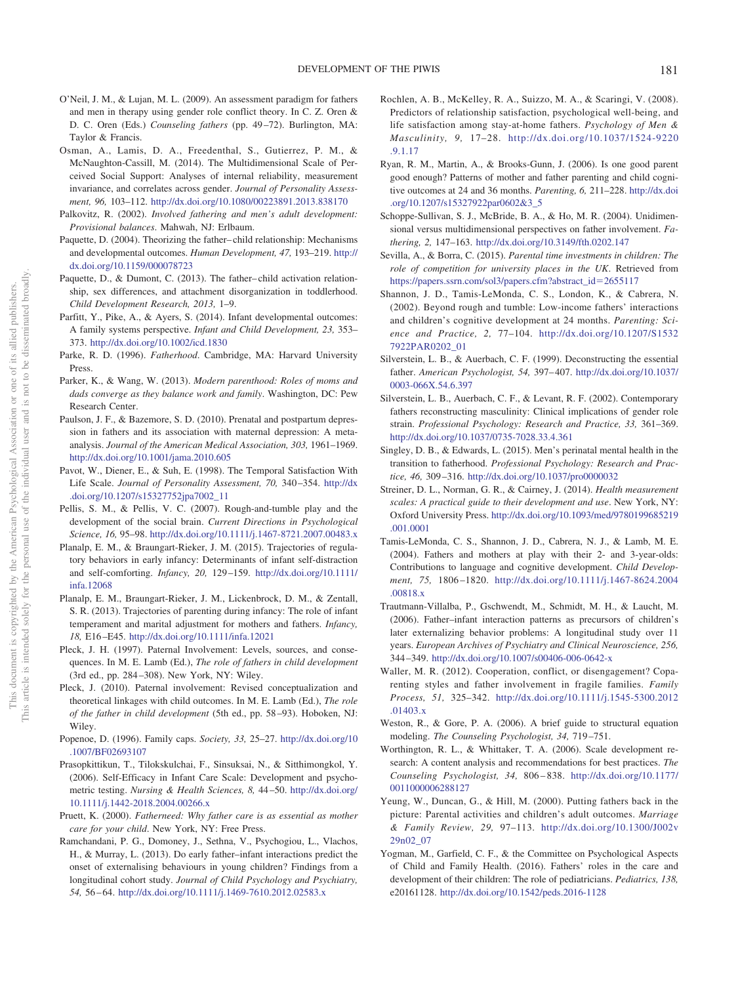- <span id="page-14-6"></span>O'Neil, J. M., & Lujan, M. L. (2009). An assessment paradigm for fathers and men in therapy using gender role conflict theory. In C. Z. Oren & D. C. Oren (Eds.) *Counseling fathers* (pp. 49 –72). Burlington, MA: Taylor & Francis.
- <span id="page-14-23"></span>Osman, A., Lamis, D. A., Freedenthal, S., Gutierrez, P. M., & McNaughton-Cassill, M. (2014). The Multidimensional Scale of Perceived Social Support: Analyses of internal reliability, measurement invariance, and correlates across gender. *Journal of Personality Assessment, 96,* 103–112. <http://dx.doi.org/10.1080/00223891.2013.838170>
- <span id="page-14-28"></span>Palkovitz, R. (2002). *Involved fathering and men's adult development: Provisional balances*. Mahwah, NJ: Erlbaum.
- <span id="page-14-18"></span>Paquette, D. (2004). Theorizing the father– child relationship: Mechanisms and developmental outcomes. *Human Development, 47,* 193–219. [http://](http://dx.doi.org/10.1159/000078723) [dx.doi.org/10.1159/000078723](http://dx.doi.org/10.1159/000078723)
- <span id="page-14-19"></span>Paquette, D., & Dumont, C. (2013). The father– child activation relationship, sex differences, and attachment disorganization in toddlerhood. *Child Development Research, 2013,* 1–9.
- <span id="page-14-31"></span>Parfitt, Y., Pike, A., & Ayers, S. (2014). Infant developmental outcomes: A family systems perspective. *Infant and Child Development, 23,* 353– 373. <http://dx.doi.org/10.1002/icd.1830>
- <span id="page-14-3"></span>Parke, R. D. (1996). *Fatherhood*. Cambridge, MA: Harvard University Press.
- <span id="page-14-0"></span>Parker, K., & Wang, W. (2013). *Modern parenthood: Roles of moms and dads converge as they balance work and family*. Washington, DC: Pew Research Center.
- <span id="page-14-4"></span>Paulson, J. F., & Bazemore, S. D. (2010). Prenatal and postpartum depression in fathers and its association with maternal depression: A metaanalysis. *Journal of the American Medical Association, 303,* 1961–1969. <http://dx.doi.org/10.1001/jama.2010.605>
- <span id="page-14-22"></span>Pavot, W., Diener, E., & Suh, E. (1998). The Temporal Satisfaction With Life Scale. *Journal of Personality Assessment, 70,* 340 –354. [http://dx](http://dx.doi.org/10.1207/s15327752jpa7002_11) [.doi.org/10.1207/s15327752jpa7002\\_11](http://dx.doi.org/10.1207/s15327752jpa7002_11)
- <span id="page-14-33"></span>Pellis, S. M., & Pellis, V. C. (2007). Rough-and-tumble play and the development of the social brain. *Current Directions in Psychological Science, 16,* 95–98. <http://dx.doi.org/10.1111/j.1467-8721.2007.00483.x>
- <span id="page-14-29"></span>Planalp, E. M., & Braungart-Rieker, J. M. (2015). Trajectories of regulatory behaviors in early infancy: Determinants of infant self-distraction and self-comforting. *Infancy, 20,* 129 –159. [http://dx.doi.org/10.1111/](http://dx.doi.org/10.1111/infa.12068) [infa.12068](http://dx.doi.org/10.1111/infa.12068)
- <span id="page-14-30"></span>Planalp, E. M., Braungart-Rieker, J. M., Lickenbrock, D. M., & Zentall, S. R. (2013). Trajectories of parenting during infancy: The role of infant temperament and marital adjustment for mothers and fathers. *Infancy, 18,* E16 –E45. <http://dx.doi.org/10.1111/infa.12021>
- <span id="page-14-13"></span>Pleck, J. H. (1997). Paternal Involvement: Levels, sources, and consequences. In M. E. Lamb (Ed.), *The role of fathers in child development* (3rd ed., pp. 284 –308). New York, NY: Wiley.
- <span id="page-14-12"></span>Pleck, J. (2010). Paternal involvement: Revised conceptualization and theoretical linkages with child outcomes. In M. E. Lamb (Ed.), *The role of the father in child development* (5th ed., pp. 58 –93). Hoboken, NJ: Wiley.
- <span id="page-14-16"></span>Popenoe, D. (1996). Family caps. *Society, 33,* 25–27. [http://dx.doi.org/10](http://dx.doi.org/10.1007/BF02693107) [.1007/BF02693107](http://dx.doi.org/10.1007/BF02693107)
- <span id="page-14-21"></span>Prasopkittikun, T., Tilokskulchai, F., Sinsuksai, N., & Sitthimongkol, Y. (2006). Self-Efficacy in Infant Care Scale: Development and psychometric testing. *Nursing & Health Sciences, 8,* 44 –50. [http://dx.doi.org/](http://dx.doi.org/10.1111/j.1442-2018.2004.00266.x) [10.1111/j.1442-2018.2004.00266.x](http://dx.doi.org/10.1111/j.1442-2018.2004.00266.x)
- <span id="page-14-8"></span>Pruett, K. (2000). *Fatherneed: Why father care is as essential as mother care for your child*. New York, NY: Free Press.
- <span id="page-14-9"></span>Ramchandani, P. G., Domoney, J., Sethna, V., Psychogiou, L., Vlachos, H., & Murray, L. (2013). Do early father–infant interactions predict the onset of externalising behaviours in young children? Findings from a longitudinal cohort study. *Journal of Child Psychology and Psychiatry, 54,* 56 – 64. <http://dx.doi.org/10.1111/j.1469-7610.2012.02583.x>
- <span id="page-14-5"></span>Rochlen, A. B., McKelley, R. A., Suizzo, M. A., & Scaringi, V. (2008). Predictors of relationship satisfaction, psychological well-being, and life satisfaction among stay-at-home fathers. *Psychology of Men & Masculinity, 9,* 17–28. [http://dx.doi.org/10.1037/1524-9220](http://dx.doi.org/10.1037/1524-9220.9.1.17) [.9.1.17](http://dx.doi.org/10.1037/1524-9220.9.1.17)
- <span id="page-14-14"></span>Ryan, R. M., Martin, A., & Brooks-Gunn, J. (2006). Is one good parent good enough? Patterns of mother and father parenting and child cognitive outcomes at 24 and 36 months. *Parenting, 6,* 211–228. [http://dx.doi](http://dx.doi.org/10.1207/s15327922par0602&3_5) [.org/10.1207/s15327922par0602&3\\_5](http://dx.doi.org/10.1207/s15327922par0602&3_5)
- <span id="page-14-26"></span>Schoppe-Sullivan, S. J., McBride, B. A., & Ho, M. R. (2004). Unidimensional versus multidimensional perspectives on father involvement. *Fathering, 2,* 147–163. <http://dx.doi.org/10.3149/fth.0202.147>
- <span id="page-14-1"></span>Sevilla, A., & Borra, C. (2015). *Parental time investments in children: The role of competition for university places in the UK*. Retrieved from [https://papers.ssrn.com/sol3/papers.cfm?abstract\\_id](https://papers.ssrn.com/sol3/papers.cfm?abstract_id=2655117)=2655117
- <span id="page-14-32"></span>Shannon, J. D., Tamis-LeMonda, C. S., London, K., & Cabrera, N. (2002). Beyond rough and tumble: Low-income fathers' interactions and children's cognitive development at 24 months. *Parenting: Science and Practice, 2,* 77–104. [http://dx.doi.org/10.1207/S1532](http://dx.doi.org/10.1207/S15327922PAR0202_01) [7922PAR0202\\_01](http://dx.doi.org/10.1207/S15327922PAR0202_01)
- <span id="page-14-15"></span>Silverstein, L. B., & Auerbach, C. F. (1999). Deconstructing the essential father. *American Psychologist, 54,* 397– 407. [http://dx.doi.org/10.1037/](http://dx.doi.org/10.1037/0003-066X.54.6.397) [0003-066X.54.6.397](http://dx.doi.org/10.1037/0003-066X.54.6.397)
- <span id="page-14-7"></span>Silverstein, L. B., Auerbach, C. F., & Levant, R. F. (2002). Contemporary fathers reconstructing masculinity: Clinical implications of gender role strain. *Professional Psychology: Research and Practice, 33,* 361–369. <http://dx.doi.org/10.1037/0735-7028.33.4.361>
- <span id="page-14-34"></span>Singley, D. B., & Edwards, L. (2015). Men's perinatal mental health in the transition to fatherhood. *Professional Psychology: Research and Practice, 46,* 309 –316. <http://dx.doi.org/10.1037/pro0000032>
- <span id="page-14-20"></span>Streiner, D. L., Norman, G. R., & Cairney, J. (2014). *Health measurement scales: A practical guide to their development and use*. New York, NY: Oxford University Press. [http://dx.doi.org/10.1093/med/9780199685219](http://dx.doi.org/10.1093/med/9780199685219.001.0001) [.001.0001](http://dx.doi.org/10.1093/med/9780199685219.001.0001)
- <span id="page-14-17"></span>Tamis-LeMonda, C. S., Shannon, J. D., Cabrera, N. J., & Lamb, M. E. (2004). Fathers and mothers at play with their 2- and 3-year-olds: Contributions to language and cognitive development. *Child Development, 75,* 1806 –1820. [http://dx.doi.org/10.1111/j.1467-8624.2004](http://dx.doi.org/10.1111/j.1467-8624.2004.00818.x) [.00818.x](http://dx.doi.org/10.1111/j.1467-8624.2004.00818.x)
- <span id="page-14-10"></span>Trautmann-Villalba, P., Gschwendt, M., Schmidt, M. H., & Laucht, M. (2006). Father–infant interaction patterns as precursors of children's later externalizing behavior problems: A longitudinal study over 11 years. *European Archives of Psychiatry and Clinical Neuroscience, 256,* 344 –349. <http://dx.doi.org/10.1007/s00406-006-0642-x>
- <span id="page-14-27"></span>Waller, M. R. (2012). Cooperation, conflict, or disengagement? Coparenting styles and father involvement in fragile families. *Family Process, 51,* 325–342. [http://dx.doi.org/10.1111/j.1545-5300.2012](http://dx.doi.org/10.1111/j.1545-5300.2012.01403.x) [.01403.x](http://dx.doi.org/10.1111/j.1545-5300.2012.01403.x)
- <span id="page-14-25"></span>Weston, R., & Gore, P. A. (2006). A brief guide to structural equation modeling. *The Counseling Psychologist, 34,* 719 –751.
- <span id="page-14-24"></span>Worthington, R. L., & Whittaker, T. A. (2006). Scale development research: A content analysis and recommendations for best practices. *The Counseling Psychologist, 34,* 806 – 838. [http://dx.doi.org/10.1177/](http://dx.doi.org/10.1177/0011000006288127) [0011000006288127](http://dx.doi.org/10.1177/0011000006288127)
- <span id="page-14-11"></span>Yeung, W., Duncan, G., & Hill, M. (2000). Putting fathers back in the picture: Parental activities and children's adult outcomes. *Marriage & Family Review, 29,* 97–113. [http://dx.doi.org/10.1300/J002v](http://dx.doi.org/10.1300/J002v29n02_07) [29n02\\_07](http://dx.doi.org/10.1300/J002v29n02_07)
- <span id="page-14-2"></span>Yogman, M., Garfield, C. F., & the Committee on Psychological Aspects of Child and Family Health. (2016). Fathers' roles in the care and development of their children: The role of pediatricians. *Pediatrics, 138,* e20161128. <http://dx.doi.org/10.1542/peds.2016-1128>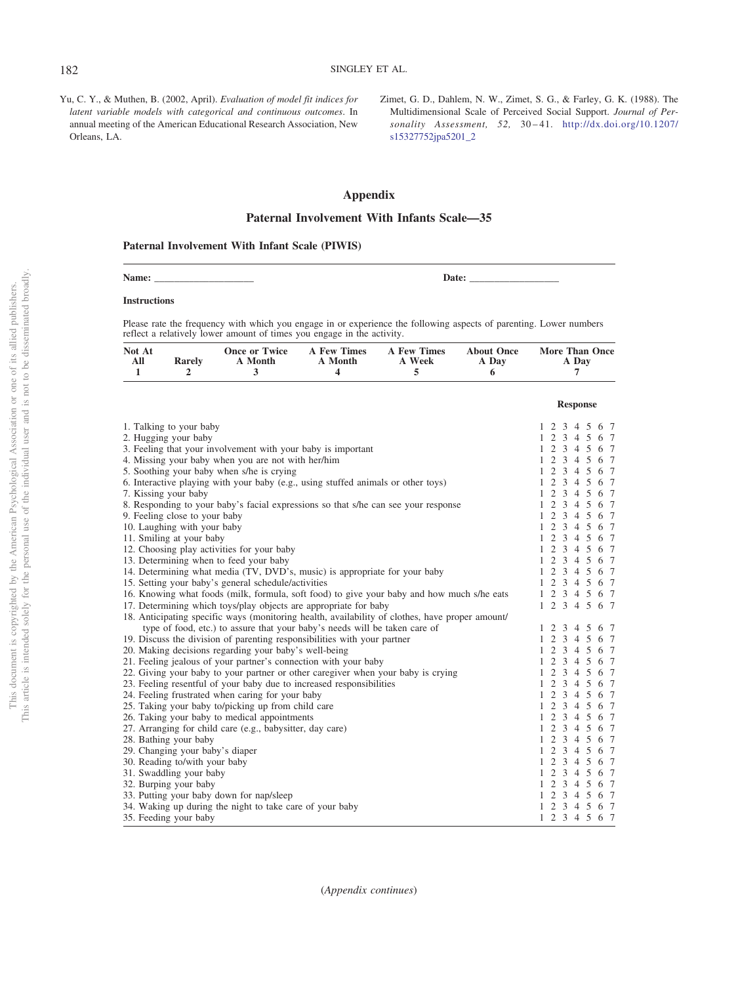<span id="page-15-1"></span>Yu, C. Y., & Muthen, B. (2002, April). *Evaluation of model fit indices for latent variable models with categorical and continuous outcomes*. In annual meeting of the American Educational Research Association, New Orleans, LA.

<span id="page-15-0"></span>Zimet, G. D., Dahlem, N. W., Zimet, S. G., & Farley, G. K. (1988). The Multidimensional Scale of Perceived Social Support. *Journal of Personality Assessment, 52,* 30 – 41. [http://dx.doi.org/10.1207/](http://dx.doi.org/10.1207/s15327752jpa5201_2) [s15327752jpa5201\\_2](http://dx.doi.org/10.1207/s15327752jpa5201_2)

**Response**

# <span id="page-15-2"></span>**Appendix**

# **Paternal Involvement With Infants Scale—35**

### **Paternal Involvement With Infant Scale (PIWIS)**

| Name: |  | Jate:<br>$\ddotsc$<br>. |  |
|-------|--|-------------------------|--|
|-------|--|-------------------------|--|

### **Instructions**

Please rate the frequency with which you engage in or experience the following aspects of parenting. Lower numbers reflect a relatively lower amount of times you engage in the activity.

| Not At |        |         |         | Once or Twice A Few Times A Few Times About Once |       | <b>More Than Once</b> |
|--------|--------|---------|---------|--------------------------------------------------|-------|-----------------------|
| All    | Rarelv | A Month | A Month | A Week                                           | A Day | A Day                 |
|        |        |         |         |                                                  |       |                       |

|                                                                                                 | response      |
|-------------------------------------------------------------------------------------------------|---------------|
| 1. Talking to your baby                                                                         | 1 2 3 4 5 6 7 |
| 2. Hugging your baby                                                                            | 1 2 3 4 5 6 7 |
| 3. Feeling that your involvement with your baby is important                                    | 1 2 3 4 5 6 7 |
| 4. Missing your baby when you are not with her/him                                              | 1 2 3 4 5 6 7 |
| 5. Soothing your baby when s/he is crying                                                       | 1 2 3 4 5 6 7 |
| 6. Interactive playing with your baby (e.g., using stuffed animals or other toys)               | 1 2 3 4 5 6 7 |
| 7. Kissing your baby                                                                            | 1 2 3 4 5 6 7 |
| 8. Responding to your baby's facial expressions so that s/he can see your response              | 1 2 3 4 5 6 7 |
| 9. Feeling close to your baby                                                                   | 1 2 3 4 5 6 7 |
| 10. Laughing with your baby                                                                     | 1 2 3 4 5 6 7 |
| 11. Smiling at your baby                                                                        | 1 2 3 4 5 6 7 |
| 12. Choosing play activities for your baby                                                      | 1 2 3 4 5 6 7 |
| 13. Determining when to feed your baby                                                          | 1 2 3 4 5 6 7 |
| 14. Determining what media (TV, DVD's, music) is appropriate for your baby                      | 1 2 3 4 5 6 7 |
| 15. Setting your baby's general schedule/activities                                             | 1 2 3 4 5 6 7 |
| 16. Knowing what foods (milk, formula, soft food) to give your baby and how much s/he eats      | 1 2 3 4 5 6 7 |
| 17. Determining which toys/play objects are appropriate for baby                                | 1 2 3 4 5 6 7 |
| 18. Anticipating specific ways (monitoring health, availability of clothes, have proper amount/ |               |
| type of food, etc.) to assure that your baby's needs will be taken care of                      | 1 2 3 4 5 6 7 |
| 19. Discuss the division of parenting responsibilities with your partner                        | 1 2 3 4 5 6 7 |
| 20. Making decisions regarding your baby's well-being                                           | 1 2 3 4 5 6 7 |
| 21. Feeling jealous of your partner's connection with your baby                                 | 1 2 3 4 5 6 7 |
| 22. Giving your baby to your partner or other caregiver when your baby is crying                | 1 2 3 4 5 6 7 |
| 23. Feeling resentful of your baby due to increased responsibilities                            | 1 2 3 4 5 6 7 |
| 24. Feeling frustrated when caring for your baby                                                | 1 2 3 4 5 6 7 |
| 25. Taking your baby to/picking up from child care                                              | 1 2 3 4 5 6 7 |
| 26. Taking your baby to medical appointments                                                    | 1 2 3 4 5 6 7 |
| 27. Arranging for child care (e.g., babysitter, day care)                                       | 1 2 3 4 5 6 7 |
| 28. Bathing your baby                                                                           | 1 2 3 4 5 6 7 |
| 29. Changing your baby's diaper                                                                 | 1 2 3 4 5 6 7 |
| 30. Reading to/with your baby                                                                   | 1 2 3 4 5 6 7 |
| 31. Swaddling your baby                                                                         | 1 2 3 4 5 6 7 |
| 32. Burping your baby                                                                           | 1 2 3 4 5 6 7 |
| 33. Putting your baby down for nap/sleep                                                        | 1 2 3 4 5 6 7 |
| 34. Waking up during the night to take care of your baby                                        | 1 2 3 4 5 6 7 |
| 35. Feeding your baby                                                                           | 1 2 3 4 5 6 7 |